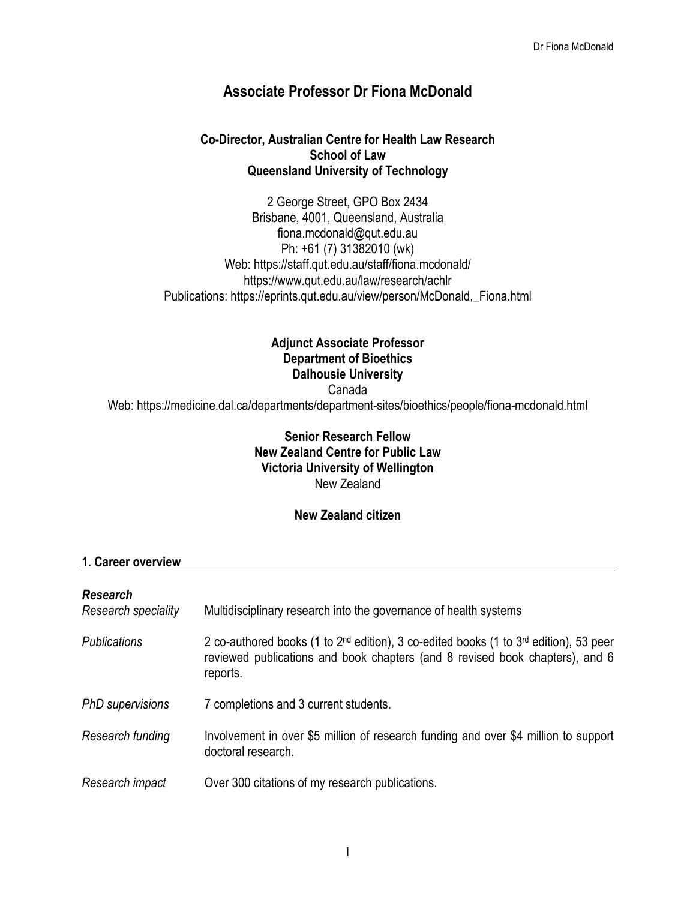# **Associate Professor Dr Fiona McDonald**

#### **Co-Director, Australian Centre for Health Law Research School of Law Queensland University of Technology**

2 George Street, GPO Box 2434 Brisbane, 4001, Queensland, Australia fiona.mcdonald@qut.edu.au Ph: +61 (7) 31382010 (wk) Web: https://staff.qut.edu.au/staff/fiona.mcdonald/ https://www.qut.edu.au/law/research/achlr Publications: https://eprints.qut.edu.au/view/person/McDonald,\_Fiona.html

# **Adjunct Associate Professor Department of Bioethics Dalhousie University**

Canada

Web: https://medicine.dal.ca/departments/department-sites/bioethics/people/fiona-mcdonald.html

#### **Senior Research Fellow New Zealand Centre for Public Law Victoria University of Wellington** New Zealand

#### **New Zealand citizen**

#### **1. Career overview**

# *Research Research speciality* Multidisciplinary research into the governance of health systems *Publications* 2 co-authored books (1 to 2nd edition), 3 co-edited books (1 to 3rd edition), 53 peer reviewed publications and book chapters (and 8 revised book chapters), and 6 reports. *PhD supervisions* 7 completions and 3 current students. *Research funding* Involvement in over \$5 million of research funding and over \$4 million to support doctoral research. *Research impact* Over 300 citations of my research publications.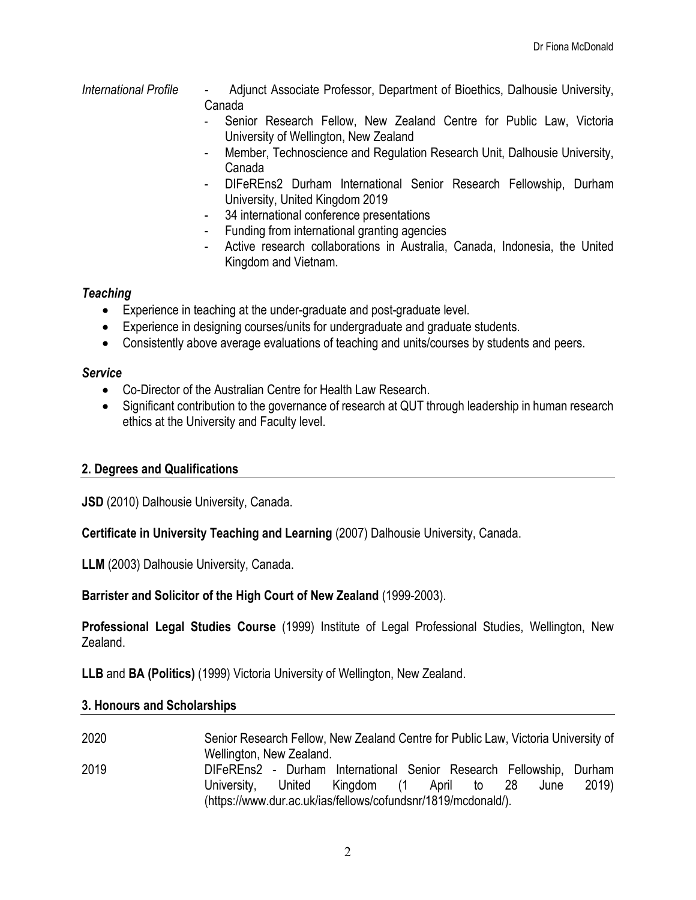- *International Profile* Adjunct Associate Professor, Department of Bioethics, Dalhousie University, Canada
	- Senior Research Fellow, New Zealand Centre for Public Law, Victoria University of Wellington, New Zealand
	- Member, Technoscience and Regulation Research Unit, Dalhousie University, Canada
	- DIFeREns2 Durham International Senior Research Fellowship, Durham University, United Kingdom 2019
	- 34 international conference presentations
	- Funding from international granting agencies
	- Active research collaborations in Australia, Canada, Indonesia, the United Kingdom and Vietnam.

# *Teaching*

- Experience in teaching at the under-graduate and post-graduate level.
- Experience in designing courses/units for undergraduate and graduate students.
- Consistently above average evaluations of teaching and units/courses by students and peers.

### *Service*

- Co-Director of the Australian Centre for Health Law Research.
- Significant contribution to the governance of research at QUT through leadership in human research ethics at the University and Faculty level.

# **2. Degrees and Qualifications**

**JSD** (2010) Dalhousie University, Canada.

**Certificate in University Teaching and Learning** (2007) Dalhousie University, Canada.

**LLM** (2003) Dalhousie University, Canada.

**Barrister and Solicitor of the High Court of New Zealand** (1999-2003).

**Professional Legal Studies Course** (1999) Institute of Legal Professional Studies, Wellington, New Zealand.

**LLB** and **BA (Politics)** (1999) Victoria University of Wellington, New Zealand.

#### **3. Honours and Scholarships**

2020 Senior Research Fellow, New Zealand Centre for Public Law, Victoria University of Wellington, New Zealand. 2019 DIFeREns2 - Durham International Senior Research Fellowship, Durham University, United Kingdom (1 April to 28 June 2019) (https://www.dur.ac.uk/ias/fellows/cofundsnr/1819/mcdonald/).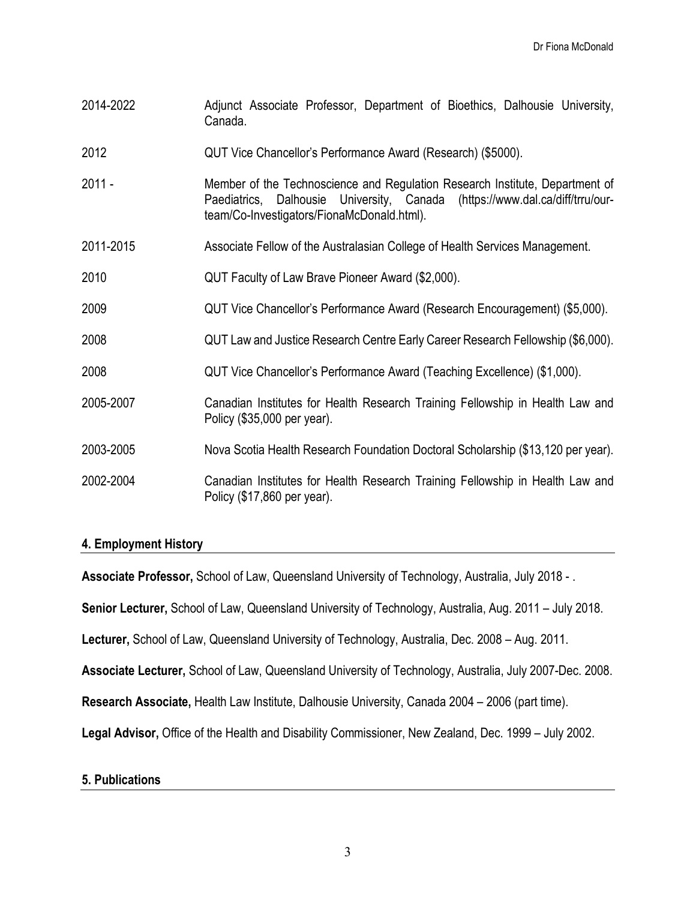- 2014-2022 Adjunct Associate Professor, Department of Bioethics, Dalhousie University, Canada.
- 2012 QUT Vice Chancellor's Performance Award (Research) (\$5000).
- 2011 Member of the Technoscience and Regulation Research Institute, Department of Paediatrics, Dalhousie University, Canada (https://www.dal.ca/diff/trru/ourteam/Co-Investigators/FionaMcDonald.html).
- 2011-2015 Associate Fellow of the Australasian College of Health Services Management.
- 2010 QUT Faculty of Law Brave Pioneer Award (\$2,000).
- 2009 QUT Vice Chancellor's Performance Award (Research Encouragement) (\$5,000).
- 2008 QUT Law and Justice Research Centre Early Career Research Fellowship (\$6,000).
- 2008 QUT Vice Chancellor's Performance Award (Teaching Excellence) (\$1,000).
- 2005-2007 Canadian Institutes for Health Research Training Fellowship in Health Law and Policy (\$35,000 per year).
- 2003-2005 Nova Scotia Health Research Foundation Doctoral Scholarship (\$13,120 per year).
- 2002-2004 Canadian Institutes for Health Research Training Fellowship in Health Law and Policy (\$17,860 per year).

#### **4. Employment History**

**Associate Professor,** School of Law, Queensland University of Technology, Australia, July 2018 - .

**Senior Lecturer,** School of Law, Queensland University of Technology, Australia, Aug. 2011 – July 2018.

**Lecturer,** School of Law, Queensland University of Technology, Australia, Dec. 2008 – Aug. 2011.

**Associate Lecturer,** School of Law, Queensland University of Technology, Australia, July 2007-Dec. 2008.

**Research Associate,** Health Law Institute, Dalhousie University, Canada 2004 – 2006 (part time).

**Legal Advisor,** Office of the Health and Disability Commissioner, New Zealand, Dec. 1999 – July 2002.

#### **5. Publications**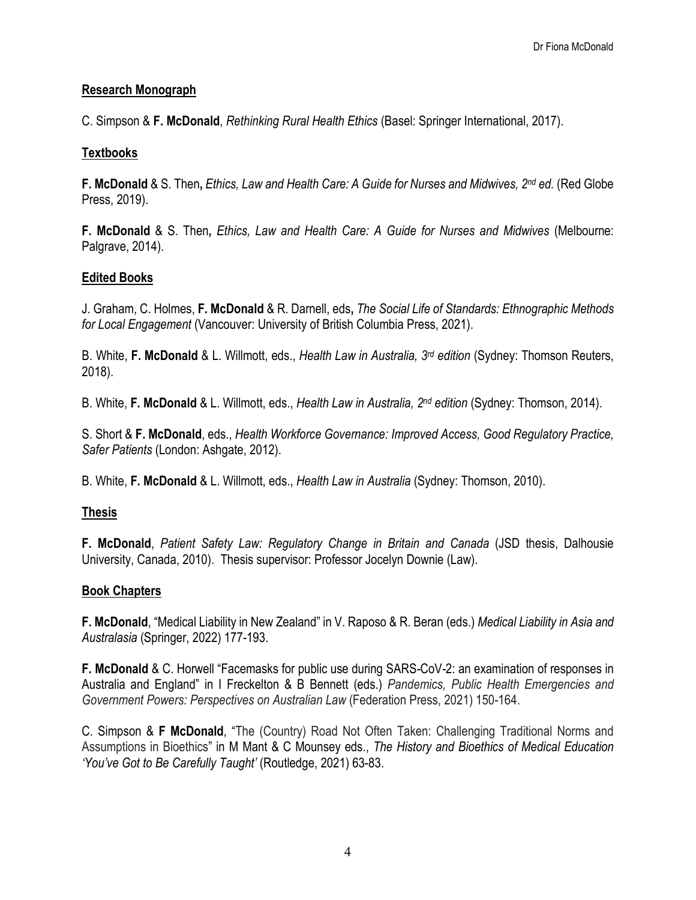### **Research Monograph**

C. Simpson & **F. McDonald**, *Rethinking Rural Health Ethics* (Basel: Springer International, 2017).

## **Textbooks**

**F. McDonald** & S. Then**,** *Ethics, Law and Health Care: A Guide for Nurses and Midwives, 2nd ed.* (Red Globe Press, 2019).

**F. McDonald** & S. Then**,** *Ethics, Law and Health Care: A Guide for Nurses and Midwives* (Melbourne: Palgrave, 2014).

# **Edited Books**

J. Graham, C. Holmes, **F. McDonald** & R. Darnell, eds**,** *The Social Life of Standards: Ethnographic Methods for Local Engagement* (Vancouver: University of British Columbia Press, 2021).

B. White, **F. McDonald** & L. Willmott, eds., *Health Law in Australia, 3rd edition* (Sydney: Thomson Reuters, 2018).

B. White, **F. McDonald** & L. Willmott, eds., *Health Law in Australia, 2nd edition* (Sydney: Thomson, 2014).

S. Short & **F. McDonald**, eds., *Health Workforce Governance: Improved Access, Good Regulatory Practice, Safer Patients* (London: Ashgate, 2012).

B. White, **F. McDonald** & L. Willmott, eds., *Health Law in Australia* (Sydney: Thomson, 2010).

# **Thesis**

**F. McDonald**, *Patient Safety Law: Regulatory Change in Britain and Canada* (JSD thesis, Dalhousie University, Canada, 2010). Thesis supervisor: Professor Jocelyn Downie (Law).

#### **Book Chapters**

**F. McDonald**, "Medical Liability in New Zealand" in V. Raposo & R. Beran (eds.) *Medical Liability in Asia and Australasia* (Springer, 2022) 177-193.

**F. McDonald** & C. Horwell "Facemasks for public use during SARS*-*CoV*-*2: an examination of responses in Australia and England" in I Freckelton & B Bennett (eds.) *Pandemics, Public Health Emergencies and Government Powers: Perspectives on Australian Law* (Federation Press, 2021) 150-164.

C. Simpson & **F McDonald**, "The (Country) Road Not Often Taken: Challenging Traditional Norms and Assumptions in Bioethics" in M Mant & C Mounsey eds., *The History and Bioethics of Medical Education 'You've Got to Be Carefully Taught'* (Routledge, 2021) 63-83.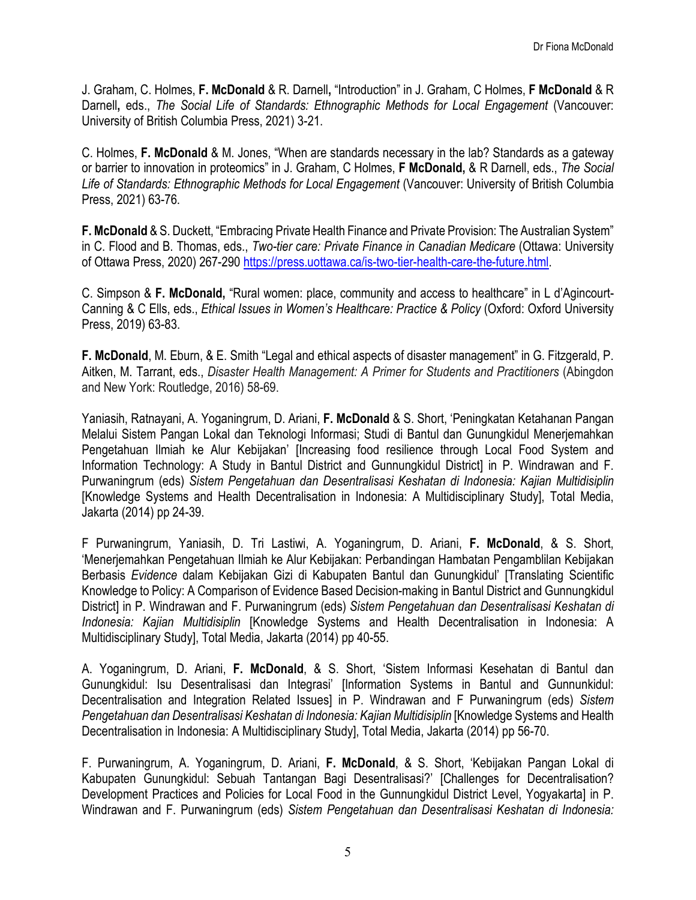J. Graham, C. Holmes, **F. McDonald** & R. Darnell**,** "Introduction" in J. Graham, C Holmes, **F McDonald** & R Darnell**,** eds., *The Social Life of Standards: Ethnographic Methods for Local Engagement* (Vancouver: University of British Columbia Press, 2021) 3-21.

C. Holmes, **F. McDonald** & M. Jones, "When are standards necessary in the lab? Standards as a gateway or barrier to innovation in proteomics" in J. Graham, C Holmes, **F McDonald,** & R Darnell, eds., *The Social Life of Standards: Ethnographic Methods for Local Engagement* (Vancouver: University of British Columbia Press, 2021) 63-76.

**F. McDonald** & S. Duckett, "Embracing Private Health Finance and Private Provision: The Australian System" in C. Flood and B. Thomas, eds., *Two-tier care: Private Finance in Canadian Medicare* (Ottawa: University of Ottawa Press, 2020) 267-290 [https://press.uottawa.ca/is-two-tier-health-care-the-future.html.](https://press.uottawa.ca/is-two-tier-health-care-the-future.html)

C. Simpson & **F. McDonald,** "Rural women: place, community and access to healthcare" in L d'Agincourt-Canning & C Ells, eds., *Ethical Issues in Women's Healthcare: Practice & Policy* (Oxford: Oxford University Press, 2019) 63-83.

**F. McDonald**, M. Eburn, & E. Smith "Legal and ethical aspects of disaster management" in G. Fitzgerald, P. Aitken, M. Tarrant, eds., *Disaster Health Management: A Primer for Students and Practitioners* (Abingdon and New York: Routledge, 2016) 58-69.

Yaniasih, Ratnayani, A. Yoganingrum, D. Ariani, **F. McDonald** & S. Short, 'Peningkatan Ketahanan Pangan Melalui Sistem Pangan Lokal dan Teknologi Informasi; Studi di Bantul dan Gunungkidul Menerjemahkan Pengetahuan Ilmiah ke Alur Kebijakan' [Increasing food resilience through Local Food System and Information Technology: A Study in Bantul District and Gunnungkidul District] in P. Windrawan and F. Purwaningrum (eds) *Sistem Pengetahuan dan Desentralisasi Keshatan di Indonesia: Kajian Multidisiplin* [Knowledge Systems and Health Decentralisation in Indonesia: A Multidisciplinary Study], Total Media, Jakarta (2014) pp 24-39.

F Purwaningrum, Yaniasih, D. Tri Lastiwi, A. Yoganingrum, D. Ariani, **F. McDonald**, & S. Short, 'Menerjemahkan Pengetahuan Ilmiah ke Alur Kebijakan: Perbandingan Hambatan Pengamblilan Kebijakan Berbasis *Evidence* dalam Kebijakan Gizi di Kabupaten Bantul dan Gunungkidul' [Translating Scientific Knowledge to Policy: A Comparison of Evidence Based Decision-making in Bantul District and Gunnungkidul District] in P. Windrawan and F. Purwaningrum (eds) *Sistem Pengetahuan dan Desentralisasi Keshatan di Indonesia: Kajian Multidisiplin* [Knowledge Systems and Health Decentralisation in Indonesia: A Multidisciplinary Study], Total Media, Jakarta (2014) pp 40-55.

A. Yoganingrum, D. Ariani, **F. McDonald**, & S. Short, 'Sistem Informasi Kesehatan di Bantul dan Gunungkidul: Isu Desentralisasi dan Integrasi' [Information Systems in Bantul and Gunnunkidul: Decentralisation and Integration Related Issues] in P. Windrawan and F Purwaningrum (eds) *Sistem Pengetahuan dan Desentralisasi Keshatan di Indonesia: Kajian Multidisiplin* [Knowledge Systems and Health Decentralisation in Indonesia: A Multidisciplinary Study], Total Media, Jakarta (2014) pp 56-70.

F. Purwaningrum, A. Yoganingrum, D. Ariani, **F. McDonald**, & S. Short, 'Kebijakan Pangan Lokal di Kabupaten Gunungkidul: Sebuah Tantangan Bagi Desentralisasi?' [Challenges for Decentralisation? Development Practices and Policies for Local Food in the Gunnungkidul District Level, Yogyakarta] in P. Windrawan and F. Purwaningrum (eds) *Sistem Pengetahuan dan Desentralisasi Keshatan di Indonesia:*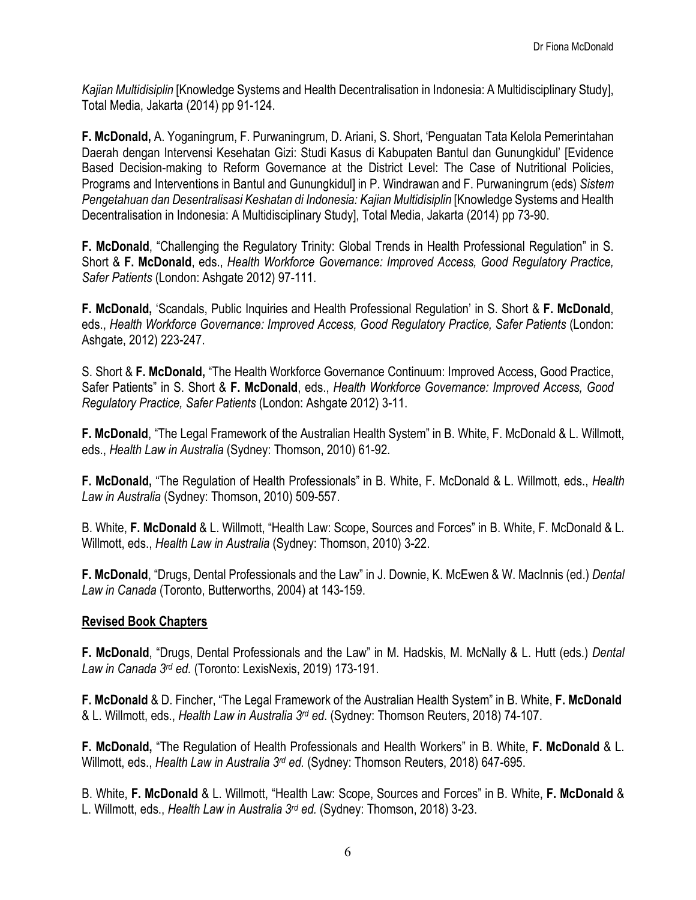*Kajian Multidisiplin* [Knowledge Systems and Health Decentralisation in Indonesia: A Multidisciplinary Study], Total Media, Jakarta (2014) pp 91-124.

**F. McDonald,** A. Yoganingrum, F. Purwaningrum, D. Ariani, S. Short, 'Penguatan Tata Kelola Pemerintahan Daerah dengan Intervensi Kesehatan Gizi: Studi Kasus di Kabupaten Bantul dan Gunungkidul' [Evidence Based Decision-making to Reform Governance at the District Level: The Case of Nutritional Policies, Programs and Interventions in Bantul and Gunungkidul] in P. Windrawan and F. Purwaningrum (eds) *Sistem Pengetahuan dan Desentralisasi Keshatan di Indonesia: Kajian Multidisiplin* [Knowledge Systems and Health Decentralisation in Indonesia: A Multidisciplinary Study], Total Media, Jakarta (2014) pp 73-90.

**F. McDonald**, "Challenging the Regulatory Trinity: Global Trends in Health Professional Regulation" in S. Short & **F. McDonald**, eds., *Health Workforce Governance: Improved Access, Good Regulatory Practice, Safer Patients* (London: Ashgate 2012) 97-111.

**F. McDonald,** 'Scandals, Public Inquiries and Health Professional Regulation' in S. Short & **F. McDonald**, eds., *Health Workforce Governance: Improved Access, Good Regulatory Practice, Safer Patients* (London: Ashgate, 2012) 223-247.

S. Short & **F. McDonald,** "The Health Workforce Governance Continuum: Improved Access, Good Practice, Safer Patients" in S. Short & **F. McDonald**, eds., *Health Workforce Governance: Improved Access, Good Regulatory Practice, Safer Patients* (London: Ashgate 2012) 3-11.

**F. McDonald**, "The Legal Framework of the Australian Health System" in B. White, F. McDonald & L. Willmott, eds., *Health Law in Australia* (Sydney: Thomson, 2010) 61-92.

**F. McDonald,** "The Regulation of Health Professionals" in B. White, F. McDonald & L. Willmott, eds., *Health Law in Australia* (Sydney: Thomson, 2010) 509-557.

B. White, **F. McDonald** & L. Willmott, "Health Law: Scope, Sources and Forces" in B. White, F. McDonald & L. Willmott, eds., *Health Law in Australia* (Sydney: Thomson, 2010) 3-22.

**F. McDonald**, "Drugs, Dental Professionals and the Law" in J. Downie, K. McEwen & W. MacInnis (ed.) *Dental Law in Canada* (Toronto, Butterworths, 2004) at 143-159.

#### **Revised Book Chapters**

**F. McDonald**, "Drugs, Dental Professionals and the Law" in M. Hadskis, M. McNally & L. Hutt (eds.) *Dental Law in Canada 3rd ed.* (Toronto: LexisNexis, 2019) 173-191.

**F. McDonald** & D. Fincher, "The Legal Framework of the Australian Health System" in B. White, **F. McDonald** & L. Willmott, eds., *Health Law in Australia 3rd ed*. (Sydney: Thomson Reuters, 2018) 74-107.

**F. McDonald,** "The Regulation of Health Professionals and Health Workers" in B. White, **F. McDonald** & L. Willmott, eds., *Health Law in Australia 3rd ed.* (Sydney: Thomson Reuters, 2018) 647-695.

B. White, **F. McDonald** & L. Willmott, "Health Law: Scope, Sources and Forces" in B. White, **F. McDonald** & L. Willmott, eds., *Health Law in Australia 3rd ed.* (Sydney: Thomson, 2018) 3-23.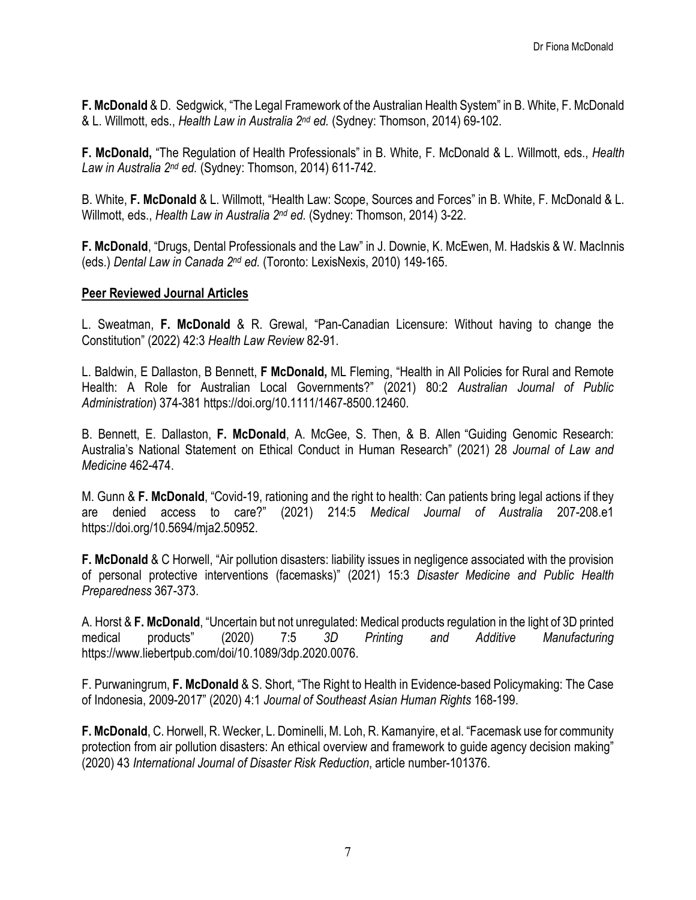**F. McDonald** & D. Sedgwick, "The Legal Framework of the Australian Health System" in B. White, F. McDonald & L. Willmott, eds., *Health Law in Australia 2nd ed.* (Sydney: Thomson, 2014) 69-102.

**F. McDonald,** "The Regulation of Health Professionals" in B. White, F. McDonald & L. Willmott, eds., *Health Law in Australia 2nd ed.* (Sydney: Thomson, 2014) 611-742.

B. White, **F. McDonald** & L. Willmott, "Health Law: Scope, Sources and Forces" in B. White, F. McDonald & L. Willmott, eds., *Health Law in Australia 2nd ed.* (Sydney: Thomson, 2014) 3-22.

**F. McDonald**, "Drugs, Dental Professionals and the Law" in J. Downie, K. McEwen, M. Hadskis & W. MacInnis (eds.) *Dental Law in Canada 2nd ed.* (Toronto: LexisNexis, 2010) 149-165.

#### **Peer Reviewed Journal Articles**

L. Sweatman, **F. McDonald** & R. Grewal, "Pan-Canadian Licensure: Without having to change the Constitution" (2022) 42:3 *Health Law Review* 82-91.

L. Baldwin, E Dallaston, B Bennett, **F McDonald,** ML Fleming, "Health in All Policies for Rural and Remote Health: A Role for Australian Local Governments?" (2021) 80:2 *Australian Journal of Public Administration*) 374-381 https://doi.org/10.1111/1467-8500.12460.

B. Bennett, E. Dallaston, **F. McDonald**, A. McGee, S. Then, & B. Allen "Guiding Genomic Research: Australia's National Statement on Ethical Conduct in Human Research" (2021) 28 *Journal of Law and Medicine* 462-474.

M. Gunn & **F. McDonald**, "Covid-19, rationing and the right to health: Can patients bring legal actions if they are denied access to care?" (2021) 214:5 *Medical Journal of Australia* 207-208.e1 https://doi.org/10.5694/mja2.50952.

**F. McDonald** & C Horwell, "Air pollution disasters: liability issues in negligence associated with the provision of personal protective interventions (facemasks)" (2021) 15:3 *Disaster Medicine and Public Health Preparedness* 367-373.

A. Horst & **F. McDonald**, "Uncertain but not unregulated: Medical products regulation in the light of 3D printed medical products" (2020) 7:5 *3D Printing and Additive Manufacturing* https://www.liebertpub.com/doi/10.1089/3dp.2020.0076.

F. Purwaningrum, **F. McDonald** & S. Short, "The Right to Health in Evidence-based Policymaking: The Case of Indonesia, 2009-2017" (2020) 4:1 *Journal of Southeast Asian Human Rights* 168-199.

**F. McDonald**, C. Horwell, R. Wecker, L. Dominelli, M. Loh, R. Kamanyire, et al. ["Facemask use for community](https://eprints.qut.edu.au/134696/)  [protection from air pollution disasters: An ethical overview and framework to guide agency decision making"](https://eprints.qut.edu.au/134696/)  [\(2020\)](https://eprints.qut.edu.au/134696/) 43 *International Journal of Disaster Risk Reduction*, article number-101376.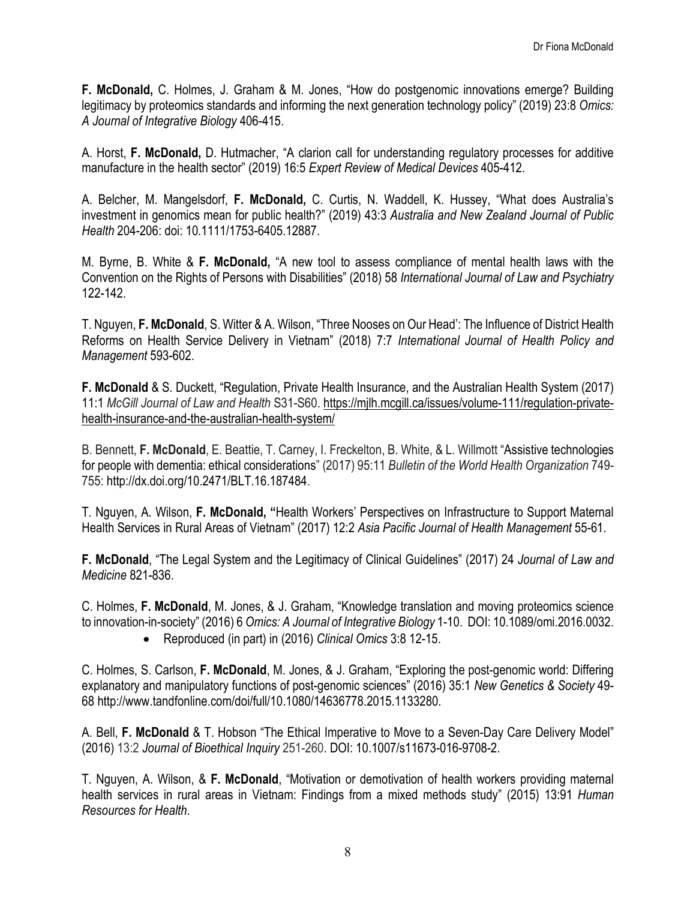**F. McDonald,** C. Holmes, J. Graham & M. Jones, "How do postgenomic innovations emerge? Building legitimacy by proteomics standards and informing the next generation technology policy" (2019) 23:8 *Omics: A Journal of Integrative Biology* 406-415.

A. Horst, **F. McDonald,** D. Hutmacher, "A clarion call for understanding regulatory processes for additive manufacture in the health sector" (2019) 16:5 *Expert Review of Medical Devices* 405-412.

A. Belcher, M. Mangelsdorf, **F. McDonald,** C. Curtis, N. Waddell, K. Hussey, "What does Australia's investment in genomics mean for public health?" (2019) 43:3 *Australia and New Zealand Journal of Public Health* 204-206: doi: 10.1111/1753-6405.12887.

M. Byrne, B. White & **F. McDonald,** "A new tool to assess compliance of mental health laws with the Convention on the Rights of Persons with Disabilities" (2018) 58 *International Journal of Law and Psychiatry* 122-142.

T. Nguyen, **F. McDonald**, S. Witter & A. Wilson, "Three Nooses on Our Head': The Influence of District Health Reforms on Health Service Delivery in Vietnam" (2018) 7:7 *International Journal of Health Policy and Management* 593-602.

**F. McDonald** & S. Duckett, "Regulation, Private Health Insurance, and the Australian Health System (2017) 11:1 *McGill Journal of Law and Health* S31-S60. [https://mjlh.mcgill.ca/issues/volume-111/regulation-private](https://mjlh.mcgill.ca/issues/volume-111/regulation-private-health-insurance-and-the-australian-health-system/)[health-insurance-and-the-australian-health-system/](https://mjlh.mcgill.ca/issues/volume-111/regulation-private-health-insurance-and-the-australian-health-system/)

B. Bennett, **F. McDonald**, E. Beattie, T. Carney, I. Freckelton, B. White, & L. Willmott "Assistive technologies for people with dementia: ethical considerations" (2017) 95:11 *Bulletin of the World Health Organization* 749- 755: http://dx.doi.org/10.2471/BLT.16.187484.

T. Nguyen, A. Wilson, **F. McDonald, "**Health Workers' Perspectives on Infrastructure to Support Maternal Health Services in Rural Areas of Vietnam" (2017) 12:2 *Asia Pacific Journal of Health Management* 55-61.

**F. McDonald**, "The Legal System and the Legitimacy of Clinical Guidelines" (2017) 24 *Journal of Law and Medicine* 821-836.

C. Holmes, **F. McDonald**, M. Jones, & J. Graham, "Knowledge translation and moving proteomics science to innovation-in-society" (2016) 6 *Omics: A Journal of Integrative Biology* 1-10. DOI: 10.1089/omi.2016.0032.

• Reproduced (in part) in (2016) *Clinical Omics* 3:8 12-15.

C. Holmes, S. Carlson, **F. McDonald**, M. Jones, & J. Graham, "Exploring the post-genomic world: Differing explanatory and manipulatory functions of post-genomic sciences" (2016) 35:1 *New Genetics & Society* 49- 68 http://www.tandfonline.com/doi/full/10.1080/14636778.2015.1133280.

A. Bell, **F. McDonald** & T. Hobson "The Ethical Imperative to Move to a Seven-Day Care Delivery Model" (2016) 13:2 *Journal of Bioethical Inquiry* 251-260. DOI: 10.1007/s11673-016-9708-2.

T. Nguyen, A. Wilson, & **F. McDonald**, "Motivation or demotivation of health workers providing maternal health services in rural areas in Vietnam: Findings from a mixed methods study" (2015) 13:91 *Human Resources for Health*.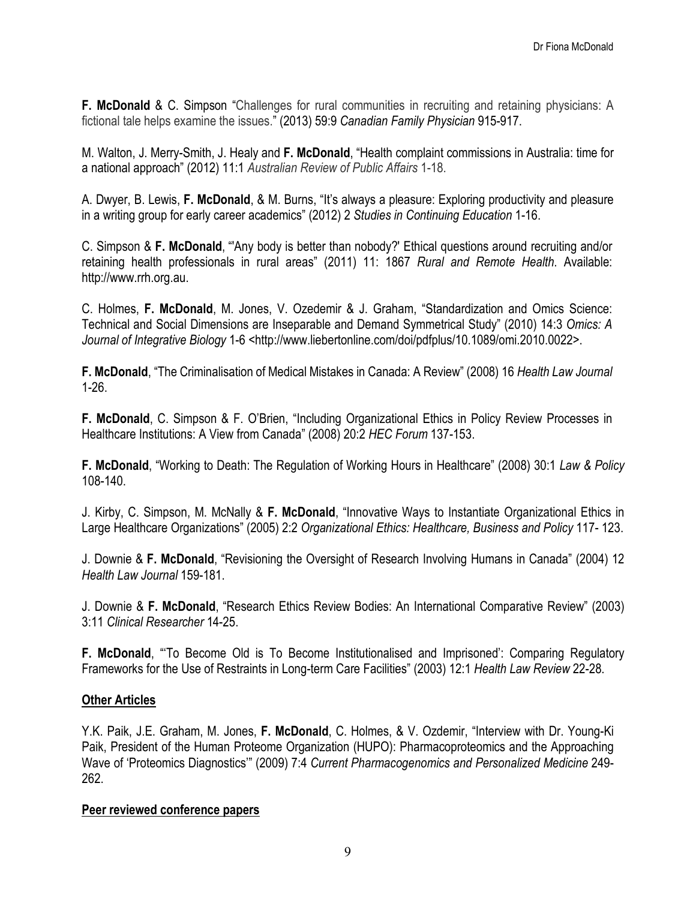**F. McDonald** & C. Simpson "Challenges for rural communities in recruiting and retaining physicians: A fictional tale helps examine the issues." (2013) 59:9 *Canadian Family Physician* 915-917.

M. Walton, J. Merry-Smith, J. Healy and **F. McDonald**, "Health complaint commissions in Australia: time for a national approach" (2012) 11:1 *Australian Review of Public Affairs* 1-18.

A. Dwyer, B. Lewis, **F. McDonald**, & M. Burns, "It's always a pleasure: Exploring productivity and pleasure in a writing group for early career academics" (2012) 2 *Studies in Continuing Education* 1-16.

C. Simpson & **F. McDonald**, "'Any body is better than nobody?' Ethical questions around recruiting and/or retaining health professionals in rural areas" (2011) 11: 1867 *Rural and Remote Health*. Available: http://www.rrh.org.au.

C. Holmes, **F. McDonald**, M. Jones, V. Ozedemir & J. Graham, "Standardization and Omics Science: Technical and Social Dimensions are Inseparable and Demand Symmetrical Study" (2010) 14:3 *Omics: A Journal of Integrative Biology* 1-6 *<*http://www.liebertonline.com/doi/pdfplus/10.1089/omi.2010.0022>.

**F. McDonald**, "The Criminalisation of Medical Mistakes in Canada: A Review" (2008) 16 *Health Law Journal* 1-26.

**F. McDonald**, C. Simpson & F. O'Brien, "Including Organizational Ethics in Policy Review Processes in Healthcare Institutions: A View from Canada" (2008) 20:2 *HEC Forum* 137-153.

**F. McDonald**, "Working to Death: The Regulation of Working Hours in Healthcare" (2008) 30:1 *Law & Policy*  108-140.

J. Kirby, C. Simpson, M. McNally & **F. McDonald**, "Innovative Ways to Instantiate Organizational Ethics in Large Healthcare Organizations" (2005) 2:2 *Organizational Ethics: Healthcare, Business and Policy* 117- 123.

J. Downie & **F. McDonald**, "Revisioning the Oversight of Research Involving Humans in Canada" (2004) 12 *Health Law Journal* 159-181.

J. Downie & **F. McDonald**, "Research Ethics Review Bodies: An International Comparative Review" (2003) 3:11 *Clinical Researcher* 14-25.

**F. McDonald**, "'To Become Old is To Become Institutionalised and Imprisoned': Comparing Regulatory Frameworks for the Use of Restraints in Long-term Care Facilities" (2003) 12:1 *Health Law Review* 22-28.

#### **Other Articles**

Y.K. Paik, J.E. Graham, M. Jones, **F. McDonald**, C. Holmes, & V. Ozdemir, "Interview with Dr. Young-Ki Paik, President of the Human Proteome Organization (HUPO): Pharmacoproteomics and the Approaching Wave of 'Proteomics Diagnostics'" (2009) 7:4 *Current Pharmacogenomics and Personalized Medicine* 249- 262.

#### **Peer reviewed conference papers**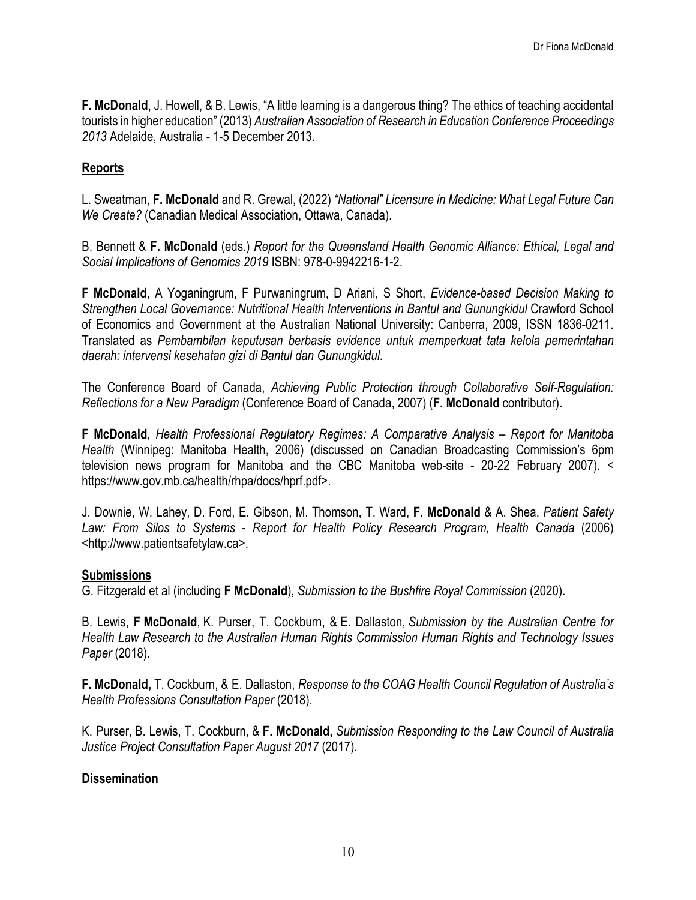**F. McDonald**, J. Howell, & B. Lewis, "A little learning is a dangerous thing? The ethics of teaching accidental tourists in higher education" (2013) *Australian Association of Research in Education Conference Proceedings 2013* Adelaide, Australia - 1-5 December 2013.

# **Reports**

L. Sweatman, **F. McDonald** and R. Grewal, (2022) *"National" Licensure in Medicine: What Legal Future Can We Create?* (Canadian Medical Association, Ottawa, Canada).

B. Bennett & **F. McDonald** (eds.) *Report for the Queensland Health Genomic Alliance: Ethical, Legal and Social Implications of Genomics 2019* ISBN: 978-0-9942216-1-2.

**F McDonald**, A Yoganingrum, F Purwaningrum, D Ariani, S Short, *Evidence-based Decision Making to Strengthen Local Governance: Nutritional Health Interventions in Bantul and Gunungkidul* Crawford School of Economics and Government at the Australian National University: Canberra, 2009, ISSN 1836-0211. Translated as *Pembambilan keputusan berbasis evidence untuk memperkuat tata kelola pemerintahan daerah: intervensi kesehatan gizi di Bantul dan Gunungkidul*.

The Conference Board of Canada, *Achieving Public Protection through Collaborative Self-Regulation: Reflections for a New Paradigm* (Conference Board of Canada, 2007) (**F. McDonald** contributor)**.**

**F McDonald**, *Health Professional Regulatory Regimes: A Comparative Analysis – Report for Manitoba Health* (Winnipeg: Manitoba Health, 2006) (discussed on Canadian Broadcasting Commission's 6pm television news program for Manitoba and the CBC Manitoba web-site - 20-22 February 2007). < https://www.gov.mb.ca/health/rhpa/docs/hprf.pdf>.

J. Downie, W. Lahey, D. Ford, E. Gibson, M. Thomson, T. Ward, **F. McDonald** & A. Shea, *Patient Safety Law: From Silos to Systems* - *Report for Health Policy Research Program, Health Canada* (2006) <http://www.patientsafetylaw.ca>.

#### **Submissions**

G. Fitzgerald et al (including **F McDonald**), *Submission to the Bushfire Royal Commission* (2020).

B. Lewis, **F McDonald**, K. Purser, T. Cockburn, & E. Dallaston, *Submission by the Australian Centre for Health Law Research to the Australian Human Rights Commission Human Rights and Technology Issues Paper* (2018).

**F. McDonald,** T. Cockburn, & E. Dallaston, *Response to the COAG Health Council Regulation of Australia's Health Professions Consultation Paper* (2018).

K. Purser, B. Lewis, T. Cockburn, & **F. McDonald,** *Submission Responding to the Law Council of Australia Justice Project Consultation Paper August 2017* (2017).

#### **Dissemination**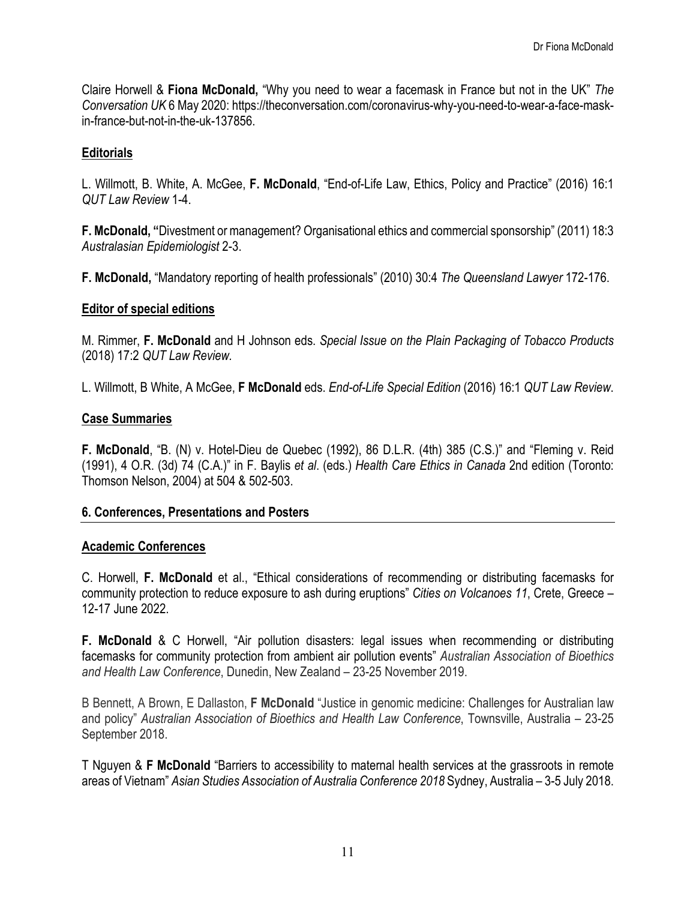Claire Horwell & **Fiona McDonald,** "Why you need to wear a facemask in France but not in the UK" *The Conversation UK* 6 May 2020: https://theconversation.com/coronavirus-why-you-need-to-wear-a-face-maskin-france-but-not-in-the-uk-137856.

## **Editorials**

L. Willmott, B. White, A. McGee, **F. McDonald**, "End-of-Life Law, Ethics, Policy and Practice" (2016) 16:1 *QUT Law Review* 1-4.

**F. McDonald, "**Divestment or management? Organisational ethics and commercial sponsorship" (2011) 18:3 *Australasian Epidemiologist* 2-3.

**F. McDonald,** "Mandatory reporting of health professionals" (2010) 30:4 *The Queensland Lawyer* 172-176.

#### **Editor of special editions**

M. Rimmer, **F. McDonald** and H Johnson eds. *Special Issue on the Plain Packaging of Tobacco Products*  (2018) 17:2 *QUT Law Review.*

L. Willmott, B White, A McGee, **F McDonald** eds. *End-of-Life Special Edition* (2016) 16:1 *QUT Law Review*.

#### **Case Summaries**

**F. McDonald**, "B. (N) v. Hotel-Dieu de Quebec (1992), 86 D.L.R. (4th) 385 (C.S.)" and "Fleming v. Reid (1991), 4 O.R. (3d) 74 (C.A.)" in F. Baylis *et al*. (eds.) *Health Care Ethics in Canada* 2nd edition (Toronto: Thomson Nelson, 2004) at 504 & 502-503.

#### **6. Conferences, Presentations and Posters**

#### **Academic Conferences**

C. Horwell, **F. McDonald** et al., "Ethical considerations of recommending or distributing facemasks for community protection to reduce exposure to ash during eruptions" *Cities on Volcanoes 11*, Crete, Greece – 12-17 June 2022.

**F. McDonald** & C Horwell, "Air pollution disasters: legal issues when recommending or distributing facemasks for community protection from ambient air pollution events" *Australian Association of Bioethics and Health Law Conference*, Dunedin, New Zealand – 23-25 November 2019.

B Bennett, A Brown, E Dallaston, **F McDonald** "Justice in genomic medicine: Challenges for Australian law and policy" *Australian Association of Bioethics and Health Law Conference*, Townsville, Australia – 23-25 September 2018.

T Nguyen & **F McDonald** "Barriers to accessibility to maternal health services at the grassroots in remote areas of Vietnam" *Asian Studies Association of Australia Conference 2018* Sydney, Australia – 3-5 July 2018.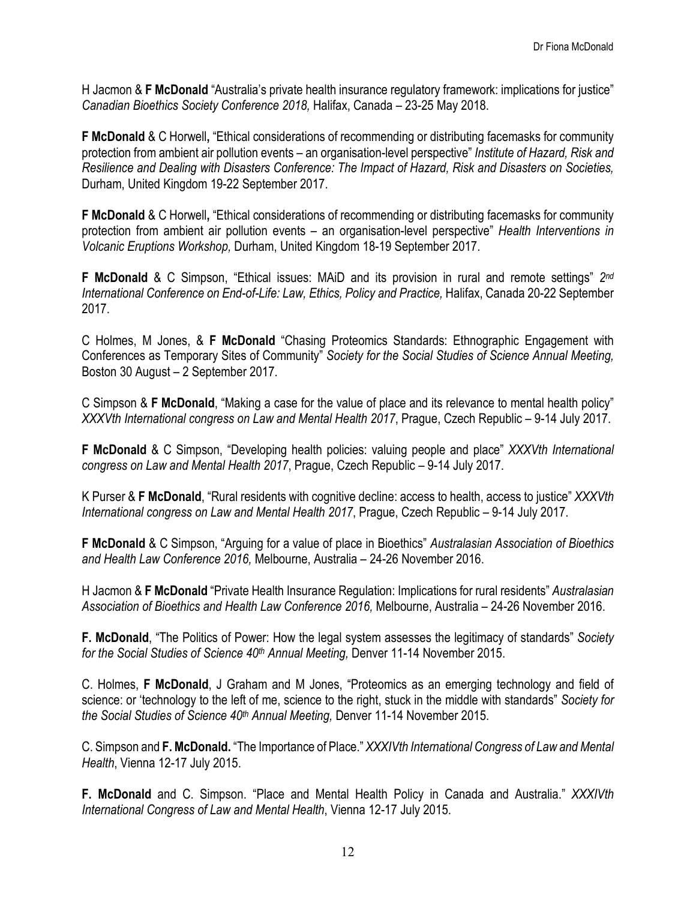H Jacmon & **F McDonald** "Australia's private health insurance regulatory framework: implications for justice" *Canadian Bioethics Society Conference 2018,* Halifax, Canada – 23-25 May 2018.

**F McDonald** & C Horwell**,** "Ethical considerations of recommending or distributing facemasks for community protection from ambient air pollution events – an organisation-level perspective" *Institute of Hazard, Risk and Resilience and Dealing with Disasters Conference: The Impact of Hazard, Risk and Disasters on Societies,*  Durham, United Kingdom 19-22 September 2017.

**F McDonald** & C Horwell**,** "Ethical considerations of recommending or distributing facemasks for community protection from ambient air pollution events – an organisation-level perspective" *Health Interventions in Volcanic Eruptions Workshop,* Durham, United Kingdom 18-19 September 2017.

**F McDonald** & C Simpson, "Ethical issues: MAiD and its provision in rural and remote settings" *2nd International Conference on End-of-Life: Law, Ethics, Policy and Practice,* Halifax, Canada 20-22 September 2017.

C Holmes, M Jones, & **F McDonald** "Chasing Proteomics Standards: Ethnographic Engagement with Conferences as Temporary Sites of Community" *Society for the Social Studies of Science Annual Meeting,*  Boston 30 August – 2 September 2017.

C Simpson & **F McDonald**, "Making a case for the value of place and its relevance to mental health policy" *XXXVth International congress on Law and Mental Health 2017*, Prague, Czech Republic – 9-14 July 2017.

**F McDonald** & C Simpson, "Developing health policies: valuing people and place" *XXXVth International congress on Law and Mental Health 2017*, Prague, Czech Republic – 9-14 July 2017.

K Purser & **F McDonald**, "Rural residents with cognitive decline: access to health, access to justice" *XXXVth International congress on Law and Mental Health 2017*, Prague, Czech Republic – 9-14 July 2017.

**F McDonald** & C Simpson, "Arguing for a value of place in Bioethics" *Australasian Association of Bioethics and Health Law Conference 2016,* Melbourne, Australia – 24-26 November 2016.

H Jacmon & **F McDonald** "Private Health Insurance Regulation: Implications for rural residents" *Australasian Association of Bioethics and Health Law Conference 2016,* Melbourne, Australia – 24-26 November 2016.

**F. McDonald**, "The Politics of Power: How the legal system assesses the legitimacy of standards" *Society for the Social Studies of Science 40th Annual Meeting,* Denver 11-14 November 2015.

C. Holmes, **F McDonald**, J Graham and M Jones, "Proteomics as an emerging technology and field of science: or 'technology to the left of me, science to the right, stuck in the middle with standards" *Society for the Social Studies of Science 40th Annual Meeting,* Denver 11-14 November 2015.

C. Simpson and **F. McDonald.** "The Importance of Place." *XXXIVth International Congress of Law and Mental Health*, Vienna 12-17 July 2015.

**F. McDonald** and C. Simpson. "Place and Mental Health Policy in Canada and Australia." *XXXIVth International Congress of Law and Mental Health*, Vienna 12-17 July 2015.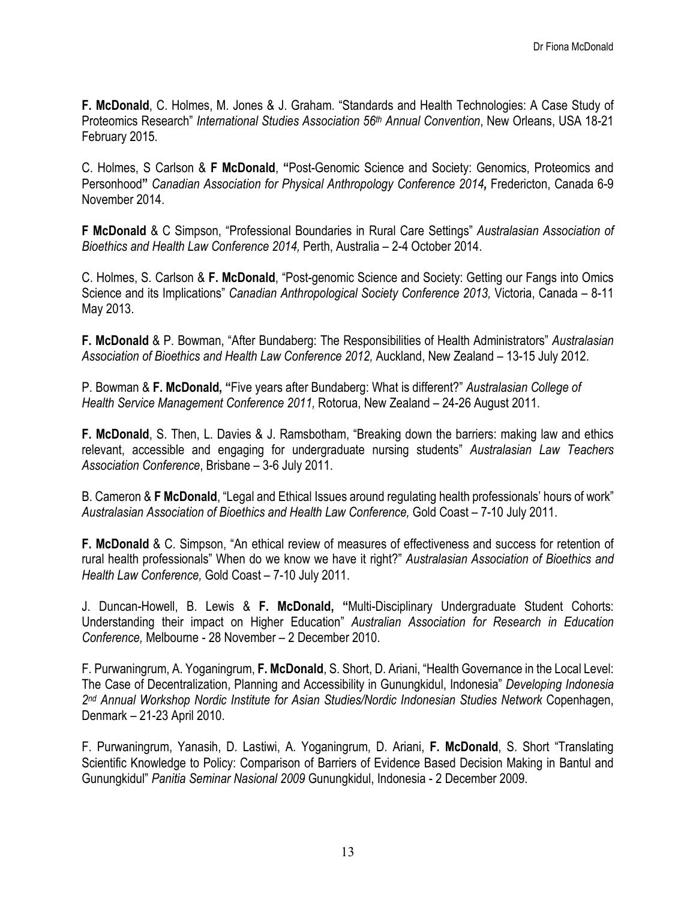**F. McDonald**, C. Holmes, M. Jones & J. Graham. "Standards and Health Technologies: A Case Study of Proteomics Research" *International Studies Association 56th Annual Convention*, New Orleans, USA 18-21 February 2015.

C. Holmes, S Carlson & **F McDonald**, **"**Post-Genomic Science and Society: Genomics, Proteomics and Personhood**"** *Canadian Association for Physical Anthropology Conference 2014,* Fredericton, Canada 6-9 November 2014.

**F McDonald** & C Simpson, "Professional Boundaries in Rural Care Settings" *Australasian Association of Bioethics and Health Law Conference 2014,* Perth, Australia – 2-4 October 2014.

C. Holmes, S. Carlson & **F. McDonald**, "Post-genomic Science and Society: Getting our Fangs into Omics Science and its Implications" *Canadian Anthropological Society Conference 2013,* Victoria, Canada – 8-11 May 2013.

**F. McDonald** & P. Bowman, "After Bundaberg: The Responsibilities of Health Administrators" *Australasian Association of Bioethics and Health Law Conference 2012,* Auckland, New Zealand – 13-15 July 2012.

P. Bowman & **F. McDonald, "**Five years after Bundaberg: What is different?" *Australasian College of Health Service Management Conference 2011,* Rotorua, New Zealand – 24-26 August 2011.

**F. McDonald**, S. Then, L. Davies & J. Ramsbotham, "Breaking down the barriers: making law and ethics relevant, accessible and engaging for undergraduate nursing students" *Australasian Law Teachers Association Conference*, Brisbane – 3-6 July 2011.

B. Cameron & **F McDonald**, "Legal and Ethical Issues around regulating health professionals' hours of work" *Australasian Association of Bioethics and Health Law Conference,* Gold Coast – 7-10 July 2011.

**F. McDonald** & C. Simpson, "An ethical review of measures of effectiveness and success for retention of rural health professionals" When do we know we have it right?" *Australasian Association of Bioethics and Health Law Conference,* Gold Coast – 7-10 July 2011.

J. Duncan-Howell, B. Lewis & **F. McDonald, "**Multi-Disciplinary Undergraduate Student Cohorts: Understanding their impact on Higher Education" *Australian Association for Research in Education Conference,* Melbourne - 28 November – 2 December 2010.

F. Purwaningrum, A. Yoganingrum, **F. McDonald**, S. Short, D. Ariani, "Health Governance in the Local Level: The Case of Decentralization, Planning and Accessibility in Gunungkidul, Indonesia" *Developing Indonesia 2nd Annual Workshop Nordic Institute for Asian Studies/Nordic Indonesian Studies Network* Copenhagen, Denmark – 21-23 April 2010.

F. Purwaningrum, Yanasih, D. Lastiwi, A. Yoganingrum, D. Ariani, **F. McDonald**, S. Short "Translating Scientific Knowledge to Policy: Comparison of Barriers of Evidence Based Decision Making in Bantul and Gunungkidul" *Panitia Seminar Nasional 2009* Gunungkidul, Indonesia - 2 December 2009.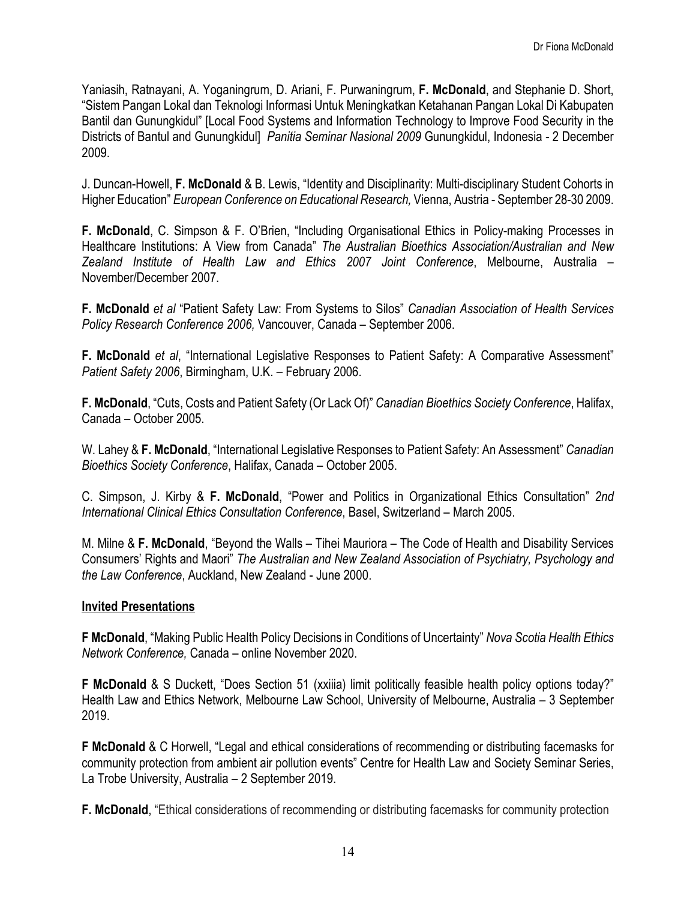Yaniasih, Ratnayani, A. Yoganingrum, D. Ariani, F. Purwaningrum, **F. McDonald**, and Stephanie D. Short, "Sistem Pangan Lokal dan Teknologi Informasi Untuk Meningkatkan Ketahanan Pangan Lokal Di Kabupaten Bantil dan Gunungkidul" [Local Food Systems and Information Technology to Improve Food Security in the Districts of Bantul and Gunungkidul] *Panitia Seminar Nasional 2009* Gunungkidul, Indonesia - 2 December 2009.

J. Duncan-Howell, **F. McDonald** & B. Lewis, "Identity and Disciplinarity: Multi-disciplinary Student Cohorts in Higher Education" *European Conference on Educational Research,* Vienna, Austria - September 28-30 2009.

**F. McDonald**, C. Simpson & F. O'Brien, "Including Organisational Ethics in Policy-making Processes in Healthcare Institutions: A View from Canada" *The Australian Bioethics Association/Australian and New Zealand Institute of Health Law and Ethics 2007 Joint Conference*, Melbourne, Australia – November/December 2007.

**F. McDonald** *et al* "Patient Safety Law: From Systems to Silos" *Canadian Association of Health Services Policy Research Conference 2006,* Vancouver, Canada – September 2006.

**F. McDonald** *et al*, "International Legislative Responses to Patient Safety: A Comparative Assessment" *Patient Safety 2006*, Birmingham, U.K. – February 2006.

**F. McDonald**, "Cuts, Costs and Patient Safety (Or Lack Of)" *Canadian Bioethics Society Conference*, Halifax, Canada – October 2005.

W. Lahey & **F. McDonald**, "International Legislative Responses to Patient Safety: An Assessment" *Canadian Bioethics Society Conference*, Halifax, Canada – October 2005.

C. Simpson, J. Kirby & **F. McDonald**, "Power and Politics in Organizational Ethics Consultation" *2nd International Clinical Ethics Consultation Conference*, Basel, Switzerland – March 2005.

M. Milne & **F. McDonald**, "Beyond the Walls – Tihei Mauriora – The Code of Health and Disability Services Consumers' Rights and Maori" *The Australian and New Zealand Association of Psychiatry, Psychology and the Law Conference*, Auckland, New Zealand - June 2000.

#### **Invited Presentations**

**F McDonald**, "Making Public Health Policy Decisions in Conditions of Uncertainty" *Nova Scotia Health Ethics Network Conference,* Canada – online November 2020.

**F McDonald** & S Duckett, "Does Section 51 (xxiiia) limit politically feasible health policy options today?" Health Law and Ethics Network, Melbourne Law School, University of Melbourne, Australia – 3 September 2019.

**F McDonald** & C Horwell, "Legal and ethical considerations of recommending or distributing facemasks for community protection from ambient air pollution events" Centre for Health Law and Society Seminar Series, La Trobe University, Australia – 2 September 2019.

**F. McDonald**, "Ethical considerations of recommending or distributing facemasks for community protection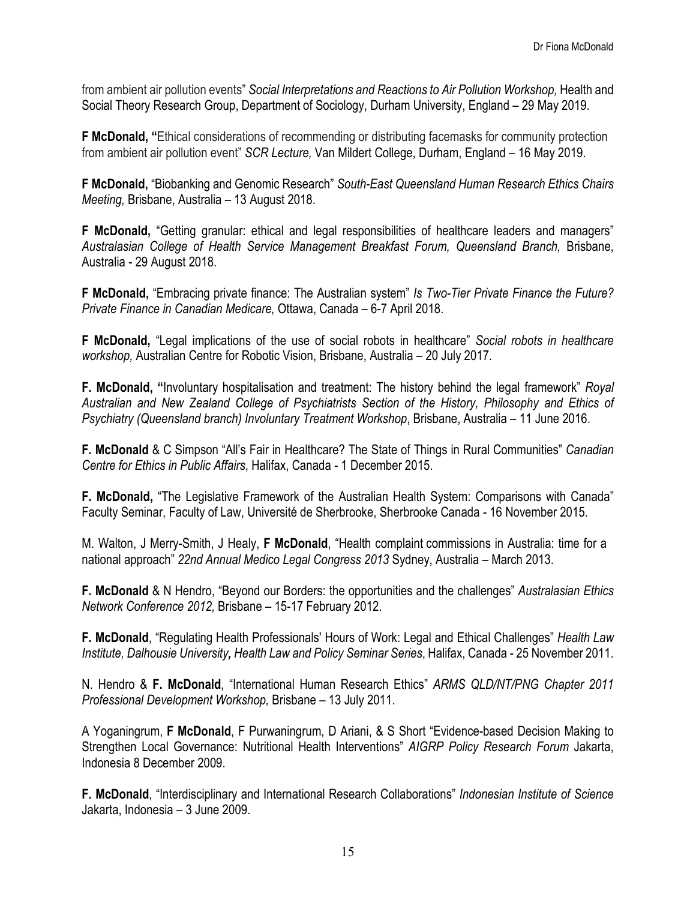from ambient air pollution events" *Social Interpretations and Reactions to Air Pollution Workshop*, Health and Social Theory Research Group, Department of Sociology, Durham University, England – 29 May 2019.

**F McDonald, "**Ethical considerations of recommending or distributing facemasks for community protection from ambient air pollution event" *SCR Lecture,* Van Mildert College, Durham, England – 16 May 2019.

**F McDonald,** "Biobanking and Genomic Research" *South-East Queensland Human Research Ethics Chairs Meeting,* Brisbane, Australia – 13 August 2018.

**F McDonald,** "Getting granular: ethical and legal responsibilities of healthcare leaders and managers" *Australasian College of Health Service Management Breakfast Forum, Queensland Branch,* Brisbane, Australia - 29 August 2018.

**F McDonald,** "Embracing private finance: The Australian system" *Is Two-Tier Private Finance the Future? Private Finance in Canadian Medicare,* Ottawa, Canada – 6-7 April 2018.

**F McDonald,** "Legal implications of the use of social robots in healthcare" *Social robots in healthcare workshop,* Australian Centre for Robotic Vision, Brisbane, Australia – 20 July 2017.

**F. McDonald, "**Involuntary hospitalisation and treatment: The history behind the legal framework" *Royal Australian and New Zealand College of Psychiatrists Section of the History, Philosophy and Ethics of Psychiatry (Queensland branch) Involuntary Treatment Workshop*, Brisbane, Australia – 11 June 2016.

**F. McDonald** & C Simpson "All's Fair in Healthcare? The State of Things in Rural Communities" *Canadian Centre for Ethics in Public Affairs*, Halifax, Canada - 1 December 2015.

**F. McDonald,** "The Legislative Framework of the Australian Health System: Comparisons with Canada" Faculty Seminar, Faculty of Law, Université de Sherbrooke, Sherbrooke Canada - 16 November 2015.

M. Walton, J Merry-Smith, J Healy, **F McDonald**, "Health complaint commissions in Australia: time for a national approach" *22nd Annual Medico Legal Congress 2013* Sydney, Australia – March 2013.

**F. McDonald** & N Hendro, "Beyond our Borders: the opportunities and the challenges" *Australasian Ethics Network Conference 2012,* Brisbane – 15-17 February 2012.

**F. McDonald**, "Regulating Health Professionals' Hours of Work: Legal and Ethical Challenges" *Health Law Institute, Dalhousie University, Health Law and Policy Seminar Series*, Halifax, Canada - 25 November 2011.

N. Hendro & **F. McDonald**, "International Human Research Ethics" *ARMS QLD/NT/PNG Chapter 2011 Professional Development Workshop,* Brisbane – 13 July 2011.

A Yoganingrum, **F McDonald**, F Purwaningrum, D Ariani, & S Short "Evidence-based Decision Making to Strengthen Local Governance: Nutritional Health Interventions" *AIGRP Policy Research Forum* Jakarta, Indonesia 8 December 2009.

**F. McDonald**, "Interdisciplinary and International Research Collaborations" *Indonesian Institute of Science*  Jakarta, Indonesia – 3 June 2009.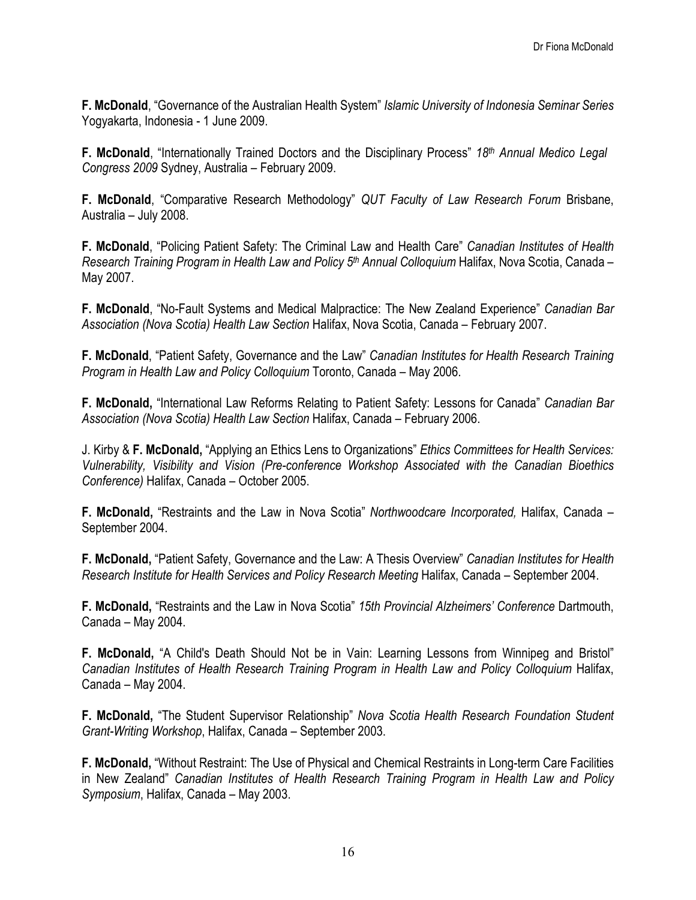**F. McDonald**, "Governance of the Australian Health System" *Islamic University of Indonesia Seminar Series*  Yogyakarta, Indonesia - 1 June 2009.

**F. McDonald**, "Internationally Trained Doctors and the Disciplinary Process" *18th Annual Medico Legal Congress 2009* Sydney, Australia – February 2009.

**F. McDonald**, "Comparative Research Methodology" *QUT Faculty of Law Research Forum* Brisbane, Australia – July 2008.

**F. McDonald**, "Policing Patient Safety: The Criminal Law and Health Care" *Canadian Institutes of Health Research Training Program in Health Law and Policy 5th Annual Colloquium* Halifax, Nova Scotia, Canada – May 2007.

**F. McDonald**, "No-Fault Systems and Medical Malpractice: The New Zealand Experience" *Canadian Bar Association (Nova Scotia) Health Law Section* Halifax, Nova Scotia, Canada – February 2007.

**F. McDonald**, "Patient Safety, Governance and the Law" *Canadian Institutes for Health Research Training Program in Health Law and Policy Colloquium* Toronto, Canada – May 2006.

**F. McDonald,** "International Law Reforms Relating to Patient Safety: Lessons for Canada" *Canadian Bar Association (Nova Scotia) Health Law Section* Halifax, Canada – February 2006.

J. Kirby & **F. McDonald,** "Applying an Ethics Lens to Organizations" *Ethics Committees for Health Services: Vulnerability, Visibility and Vision (Pre-conference Workshop Associated with the Canadian Bioethics Conference)* Halifax, Canada – October 2005.

**F. McDonald,** "Restraints and the Law in Nova Scotia" *Northwoodcare Incorporated,* Halifax, Canada – September 2004.

**F. McDonald,** "Patient Safety, Governance and the Law: A Thesis Overview" *Canadian Institutes for Health Research Institute for Health Services and Policy Research Meeting* Halifax, Canada – September 2004.

**F. McDonald,** "Restraints and the Law in Nova Scotia" *15th Provincial Alzheimers' Conference* Dartmouth, Canada – May 2004.

**F. McDonald,** "A Child's Death Should Not be in Vain: Learning Lessons from Winnipeg and Bristol" *Canadian Institutes of Health Research Training Program in Health Law and Policy Colloquium* Halifax, Canada – May 2004.

**F. McDonald,** "The Student Supervisor Relationship" *Nova Scotia Health Research Foundation Student Grant-Writing Workshop*, Halifax, Canada – September 2003.

**F. McDonald,** "Without Restraint: The Use of Physical and Chemical Restraints in Long-term Care Facilities in New Zealand" *Canadian Institutes of Health Research Training Program in Health Law and Policy Symposium*, Halifax, Canada – May 2003.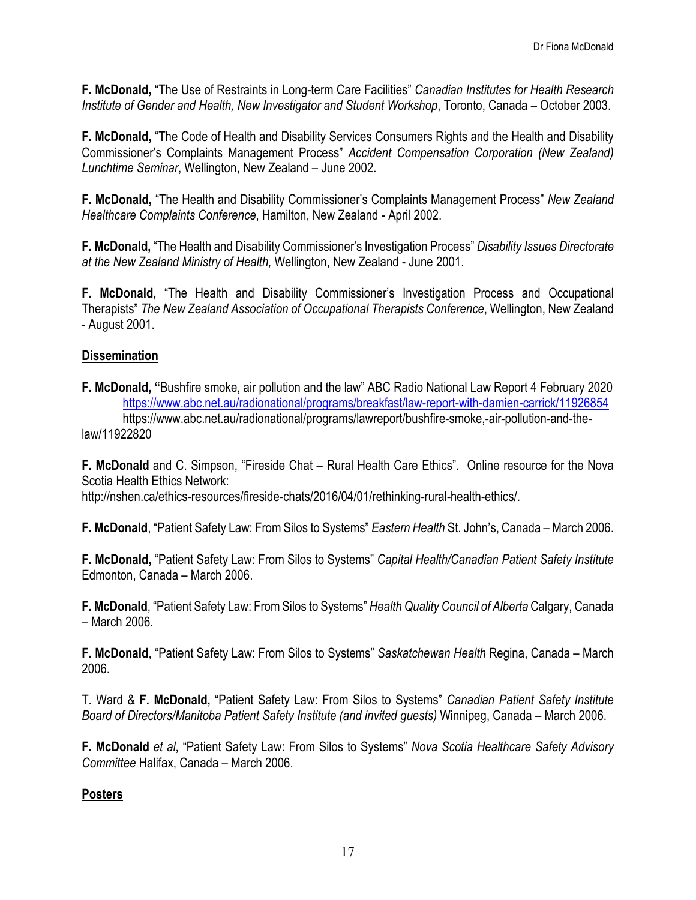**F. McDonald,** "The Use of Restraints in Long-term Care Facilities" *Canadian Institutes for Health Research Institute of Gender and Health, New Investigator and Student Workshop*, Toronto, Canada – October 2003.

**F. McDonald,** "The Code of Health and Disability Services Consumers Rights and the Health and Disability Commissioner's Complaints Management Process" *Accident Compensation Corporation (New Zealand) Lunchtime Seminar*, Wellington, New Zealand – June 2002.

**F. McDonald,** "The Health and Disability Commissioner's Complaints Management Process" *New Zealand Healthcare Complaints Conference*, Hamilton, New Zealand - April 2002.

**F. McDonald,** "The Health and Disability Commissioner's Investigation Process" *Disability Issues Directorate at the New Zealand Ministry of Health,* Wellington, New Zealand - June 2001.

**F. McDonald,** "The Health and Disability Commissioner's Investigation Process and Occupational Therapists" *The New Zealand Association of Occupational Therapists Conference*, Wellington, New Zealand - August 2001.

#### **Dissemination**

**F. McDonald, "**Bushfire smoke, air pollution and the law" ABC Radio National Law Report 4 February 2020 <https://www.abc.net.au/radionational/programs/breakfast/law-report-with-damien-carrick/11926854> https://www.abc.net.au/radionational/programs/lawreport/bushfire-smoke,-air-pollution-and-thelaw/11922820

**F. McDonald** and C. Simpson, "Fireside Chat – Rural Health Care Ethics". Online resource for the Nova Scotia Health Ethics Network:

http://nshen.ca/ethics-resources/fireside-chats/2016/04/01/rethinking-rural-health-ethics/.

**F. McDonald**, "Patient Safety Law: From Silos to Systems" *Eastern Health* St. John's, Canada – March 2006.

**F. McDonald,** "Patient Safety Law: From Silos to Systems" *Capital Health/Canadian Patient Safety Institute*  Edmonton, Canada – March 2006.

**F. McDonald**, "Patient Safety Law: From Silos to Systems" *Health Quality Council of Alberta* Calgary, Canada – March 2006.

**F. McDonald**, "Patient Safety Law: From Silos to Systems" *Saskatchewan Health* Regina, Canada – March 2006.

T. Ward & **F. McDonald,** "Patient Safety Law: From Silos to Systems" *Canadian Patient Safety Institute Board of Directors/Manitoba Patient Safety Institute (and invited guests)* Winnipeg, Canada – March 2006.

**F. McDonald** *et al*, "Patient Safety Law: From Silos to Systems" *Nova Scotia Healthcare Safety Advisory Committee* Halifax, Canada – March 2006.

#### **Posters**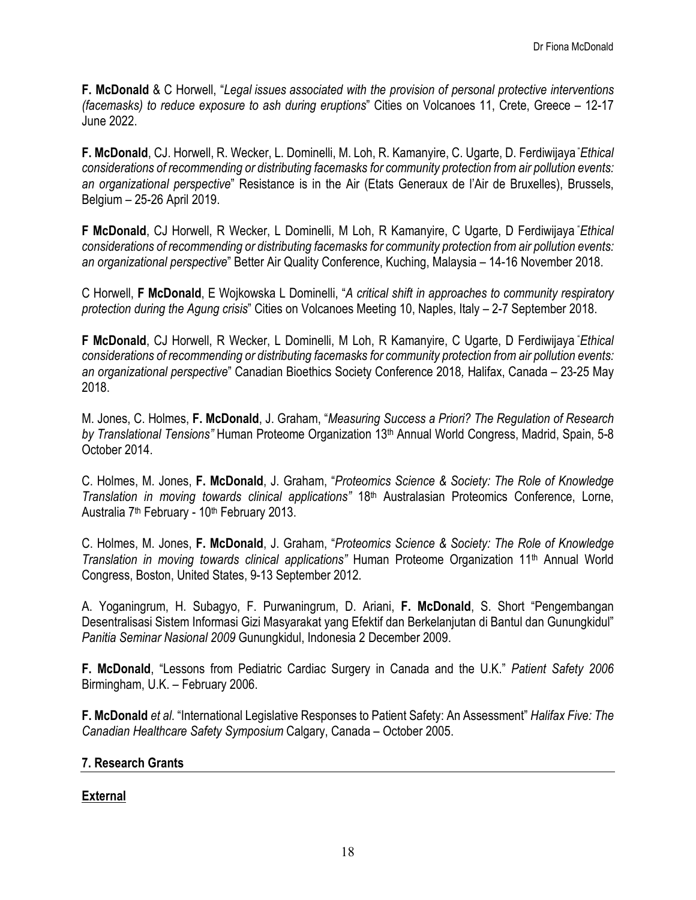**F. McDonald** & C Horwell, "*Legal issues associated with the provision of personal protective interventions (facemasks) to reduce exposure to ash during eruptions*" Cities on Volcanoes 11, Crete, Greece – 12-17 June 2022.

**F. McDonald**, CJ. Horwell, R. Wecker, L. Dominelli, M. Loh, R. Kamanyire, C. Ugarte, D. Ferdiwijaya " *Ethical considerations of recommending or distributing facemasks for community protection from air pollution events: an organizational perspective*" Resistance is in the Air (Etats Generaux de l'Air de Bruxelles), Brussels, Belgium – 25-26 April 2019.

**F McDonald**, CJ Horwell, R Wecker, L Dominelli, M Loh, R Kamanyire, C Ugarte, D Ferdiwijaya " *Ethical considerations of recommending or distributing facemasks for community protection from air pollution events: an organizational perspective*" Better Air Quality Conference, Kuching, Malaysia – 14-16 November 2018.

C Horwell, **F McDonald**, E Wojkowska L Dominelli, "*A critical shift in approaches to community respiratory protection during the Agung crisis*" Cities on Volcanoes Meeting 10, Naples, Italy – 2-7 September 2018.

**F McDonald**, CJ Horwell, R Wecker, L Dominelli, M Loh, R Kamanyire, C Ugarte, D Ferdiwijaya " *Ethical considerations of recommending or distributing facemasks for community protection from air pollution events: an organizational perspective*" Canadian Bioethics Society Conference 2018*,* Halifax, Canada – 23-25 May 2018.

M. Jones, C. Holmes, **F. McDonald**, J. Graham, "*Measuring Success a Priori? The Regulation of Research by Translational Tensions"* Human Proteome Organization 13th Annual World Congress, Madrid, Spain, 5-8 October 2014.

C. Holmes, M. Jones, **F. McDonald**, J. Graham, "*Proteomics Science & Society: The Role of Knowledge Translation in moving towards clinical applications"* 18th Australasian Proteomics Conference, Lorne, Australia 7<sup>th</sup> February - 10<sup>th</sup> February 2013.

C. Holmes, M. Jones, **F. McDonald**, J. Graham, "*Proteomics Science & Society: The Role of Knowledge Translation in moving towards clinical applications"* Human Proteome Organization 11th Annual World Congress, Boston, United States, 9-13 September 2012.

A. Yoganingrum, H. Subagyo, F. Purwaningrum, D. Ariani, **F. McDonald**, S. Short "Pengembangan Desentralisasi Sistem Informasi Gizi Masyarakat yang Efektif dan Berkelanjutan di Bantul dan Gunungkidul" *Panitia Seminar Nasional 2009* Gunungkidul, Indonesia 2 December 2009.

**F. McDonald**, "Lessons from Pediatric Cardiac Surgery in Canada and the U.K." *Patient Safety 2006*  Birmingham, U.K. – February 2006.

**F. McDonald** *et al*. "International Legislative Responses to Patient Safety: An Assessment" *Halifax Five: The Canadian Healthcare Safety Symposium* Calgary, Canada – October 2005.

#### **7. Research Grants**

# **External**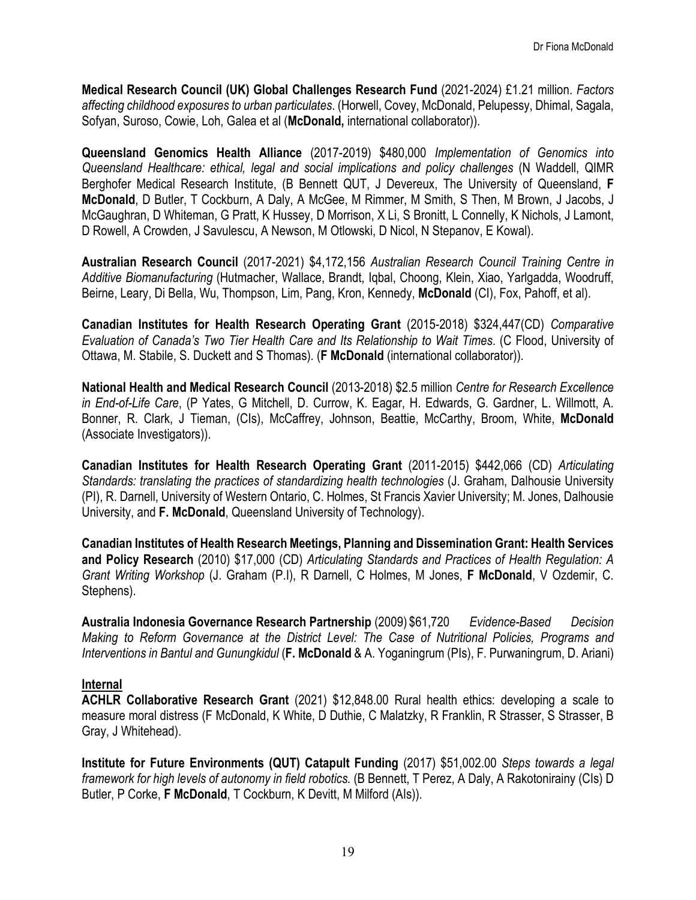**Medical Research Council (UK) Global Challenges Research Fund** (2021-2024) £1.21 million. *Factors affecting childhood exposures to urban particulates*. (Horwell, Covey, McDonald, Pelupessy, Dhimal, Sagala, Sofyan, Suroso, Cowie, Loh, Galea et al (**McDonald,** international collaborator)).

**Queensland Genomics Health Alliance** (2017-2019) \$480,000 *Implementation of Genomics into Queensland Healthcare: ethical, legal and social implications and policy challenges* (N Waddell, QIMR Berghofer Medical Research Institute, (B Bennett QUT, J Devereux, The University of Queensland, **F McDonald**, D Butler, T Cockburn, A Daly, A McGee, M Rimmer, M Smith, S Then, M Brown, J Jacobs, J McGaughran, D Whiteman, G Pratt, K Hussey, D Morrison, X Li, S Bronitt, L Connelly, K Nichols, J Lamont, D Rowell, A Crowden, J Savulescu, A Newson, M Otlowski, D Nicol, N Stepanov, E Kowal).

**Australian Research Council** (2017-2021) \$4,172,156 *Australian Research Council Training Centre in Additive Biomanufacturing* (Hutmacher, Wallace, Brandt, Iqbal, Choong, Klein, Xiao, Yarlgadda, Woodruff, Beirne, Leary, Di Bella, Wu, Thompson, Lim, Pang, Kron, Kennedy, **McDonald** (CI), Fox, Pahoff, et al).

**Canadian Institutes for Health Research Operating Grant** (2015-2018) \$324,447(CD) *Comparative Evaluation of Canada's Two Tier Health Care and Its Relationship to Wait Times*. (C Flood, University of Ottawa, M. Stabile, S. Duckett and S Thomas). (**F McDonald** (international collaborator)).

**National Health and Medical Research Council** (2013-2018) \$2.5 million *Centre for Research Excellence in End-of-Life Care*, (P Yates, G Mitchell, D. Currow, K. Eagar, H. Edwards, G. Gardner, L. Willmott, A. Bonner, R. Clark, J Tieman, (CIs), McCaffrey, Johnson, Beattie, McCarthy, Broom, White, **McDonald**  (Associate Investigators)).

**Canadian Institutes for Health Research Operating Grant** (2011-2015) \$442,066 (CD) *Articulating Standards: translating the practices of standardizing health technologies* (J. Graham, Dalhousie University (PI), R. Darnell, University of Western Ontario, C. Holmes, St Francis Xavier University; M. Jones, Dalhousie University, and **F. McDonald**, Queensland University of Technology).

**Canadian Institutes of Health Research Meetings, Planning and Dissemination Grant: Health Services and Policy Research** (2010) \$17,000 (CD) *Articulating Standards and Practices of Health Regulation: A Grant Writing Workshop* (J. Graham (P.I), R Darnell, C Holmes, M Jones, **F McDonald**, V Ozdemir, C. Stephens).

**Australia Indonesia Governance Research Partnership** (2009) \$61,720 *Evidence-Based Decision Making to Reform Governance at the District Level: The Case of Nutritional Policies, Programs and Interventions in Bantul and Gunungkidul* (**F. McDonald** & A. Yoganingrum (PIs), F. Purwaningrum, D. Ariani)

#### **Internal**

**ACHLR Collaborative Research Grant** (2021) \$12,848.00 Rural health ethics: developing a scale to measure moral distress (F McDonald, K White, D Duthie, C Malatzky, R Franklin, R Strasser, S Strasser, B Gray, J Whitehead).

**Institute for Future Environments (QUT) Catapult Funding** (2017) \$51,002.00 *Steps towards a legal framework for high levels of autonomy in field robotics.* (B Bennett, T Perez, A Daly, A Rakotonirainy (CIs) D Butler, P Corke, **F McDonald**, T Cockburn, K Devitt, M Milford (AIs)).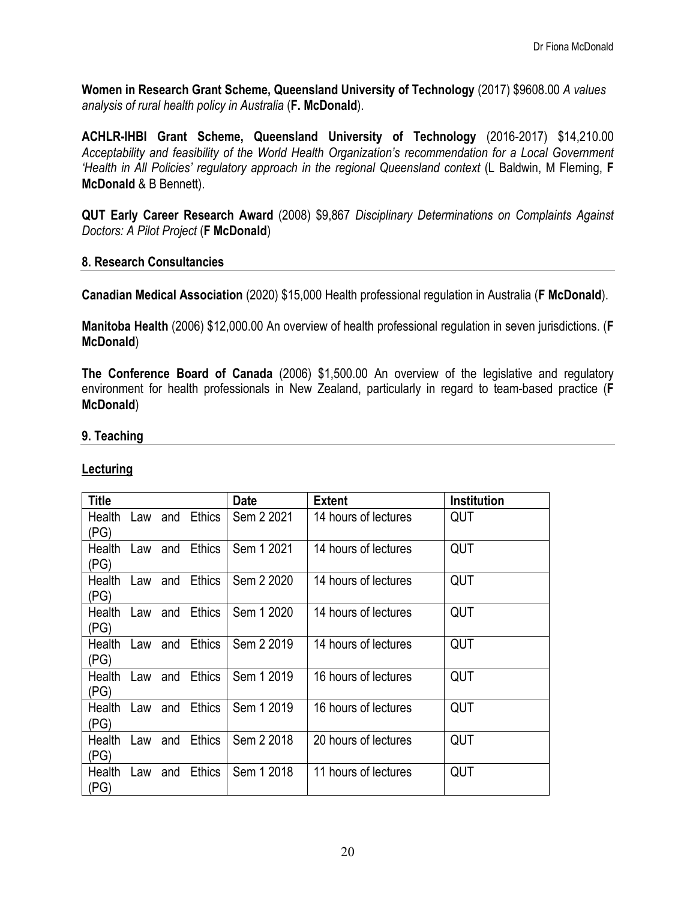**Women in Research Grant Scheme, Queensland University of Technology** (2017) \$9608.00 *A values analysis of rural health policy in Australia* (**F. McDonald**).

**ACHLR-IHBI Grant Scheme, Queensland University of Technology** (2016-2017) \$14,210.00 *Acceptability and feasibility of the World Health Organization's recommendation for a Local Government 'Health in All Policies' regulatory approach in the regional Queensland context* (L Baldwin, M Fleming, **F McDonald** & B Bennett).

**QUT Early Career Research Award** (2008) \$9,867 *Disciplinary Determinations on Complaints Against Doctors: A Pilot Project* (**F McDonald**)

#### **8. Research Consultancies**

**Canadian Medical Association** (2020) \$15,000 Health professional regulation in Australia (**F McDonald**).

**Manitoba Health** (2006) \$12,000.00 An overview of health professional regulation in seven jurisdictions. (**F McDonald**)

**The Conference Board of Canada** (2006) \$1,500.00 An overview of the legislative and regulatory environment for health professionals in New Zealand, particularly in regard to team-based practice (**F McDonald**)

#### **9. Teaching**

#### **Lecturing**

| <b>Title</b>          |         |     |               | <b>Date</b> | <b>Extent</b>        | Institution |
|-----------------------|---------|-----|---------------|-------------|----------------------|-------------|
| Health<br>(PG)        | Law     | and | <b>Ethics</b> | Sem 2 2021  | 14 hours of lectures | QUT         |
| Health<br>(PG)        | Law     | and | <b>Ethics</b> | Sem 1 2021  | 14 hours of lectures | QUT         |
| Health<br>(PG)        | Law     | and | <b>Ethics</b> | Sem 2 2020  | 14 hours of lectures | QUT         |
| <b>Health</b><br>(PG) | Law     | and | <b>Ethics</b> | Sem 1 2020  | 14 hours of lectures | QUT         |
| Health<br>(PG)        | Law and |     | <b>Ethics</b> | Sem 2 2019  | 14 hours of lectures | QUT         |
| Health<br>(PG)        | Law     | and | <b>Ethics</b> | Sem 1 2019  | 16 hours of lectures | QUT         |
| Health<br>(PG)        | Law     | and | <b>Ethics</b> | Sem 1 2019  | 16 hours of lectures | QUT         |
| Health<br>(PG)        | Law     | and | <b>Ethics</b> | Sem 2 2018  | 20 hours of lectures | QUT         |
| Health<br>(PG)        | Law     | and | <b>Ethics</b> | Sem 1 2018  | 11 hours of lectures | QUT         |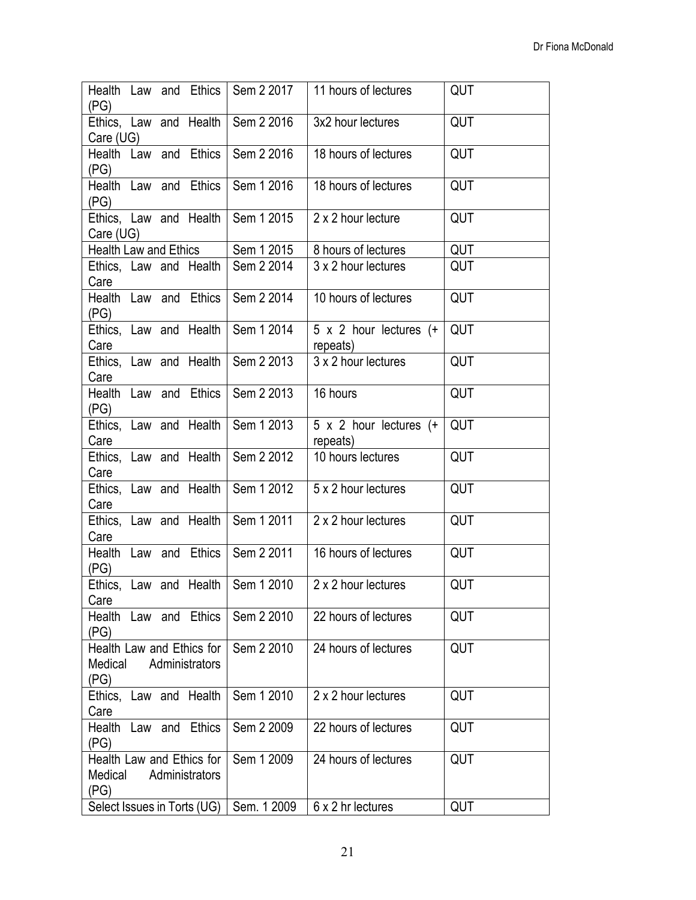| (PG)                                         |         |                             | Health Law and Ethics   Sem 2 2017  | 11 hours of lectures                        | QUT        |
|----------------------------------------------|---------|-----------------------------|-------------------------------------|---------------------------------------------|------------|
| Care (UG)                                    |         |                             | Ethics, Law and Health   Sem 2 2016 | 3x2 hour lectures                           | QUT        |
| (PG)                                         |         | Health Law and Ethics       | Sem 2 2016                          | 18 hours of lectures                        | QUT        |
| (PG)                                         |         | Health Law and Ethics       | Sem 1 2016                          | 18 hours of lectures                        | QUT        |
| Care (UG)                                    |         |                             | Ethics, Law and Health   Sem 1 2015 | 2 x 2 hour lecture                          | <b>QUT</b> |
| <b>Health Law and Ethics</b>                 |         |                             | Sem 1 2015                          | 8 hours of lectures                         | <b>QUT</b> |
| Care                                         |         |                             | Ethics, Law and Health   Sem 2 2014 | 3 x 2 hour lectures                         | QUT        |
| (PG)                                         |         | Health Law and Ethics       | Sem 2 2014                          | 10 hours of lectures                        | QUT        |
| Care                                         |         | Ethics, Law and Health      | Sem 1 2014                          | $5 \times 2$ hour lectures $(+$<br>repeats) | QUT        |
| Care                                         |         |                             | Ethics, Law and Health   Sem 2 2013 | 3 x 2 hour lectures                         | QUT        |
| (PG)                                         |         | Health Law and Ethics       | Sem 2 2013                          | 16 hours                                    | QUT        |
| Care                                         |         | Ethics, Law and Health      | Sem 1 2013                          | $5 \times 2$ hour lectures (+<br>repeats)   | QUT        |
| Care                                         |         |                             | Ethics, Law and Health   Sem 2 2012 | 10 hours lectures                           | QUT        |
| Care                                         |         | Ethics, Law and Health      | Sem 1 2012                          | 5 x 2 hour lectures                         | QUT        |
| Care                                         |         | Ethics, Law and Health      | Sem 1 2011                          | 2 x 2 hour lectures                         | <b>QUT</b> |
| (PG)                                         |         |                             | Health Law and Ethics   Sem 2 2011  | 16 hours of lectures                        | QUT        |
| Care                                         |         |                             | Ethics, Law and Health   Sem 1 2010 | 2 x 2 hour lectures                         | QUT        |
| (PG)                                         |         | Health Law and Ethics       | Sem 2 2010                          | 22 hours of lectures                        | QUT        |
| Health Law and Ethics for<br>Medical<br>(PG) |         | Administrators              | Sem 2 2010                          | 24 hours of lectures                        | QUT        |
| Ethics, Law and Health<br>Care               |         |                             | Sem 1 2010                          | 2 x 2 hour lectures                         | QUT        |
| Health<br>(PG)                               | Law and | Ethics                      | Sem 2 2009                          | 22 hours of lectures                        | QUT        |
| Health Law and Ethics for<br>Medical<br>(PG) |         | Administrators              | Sem 1 2009                          | 24 hours of lectures                        | QUT        |
|                                              |         | Select Issues in Torts (UG) | Sem. 1 2009                         | 6 x 2 hr lectures                           | QUT        |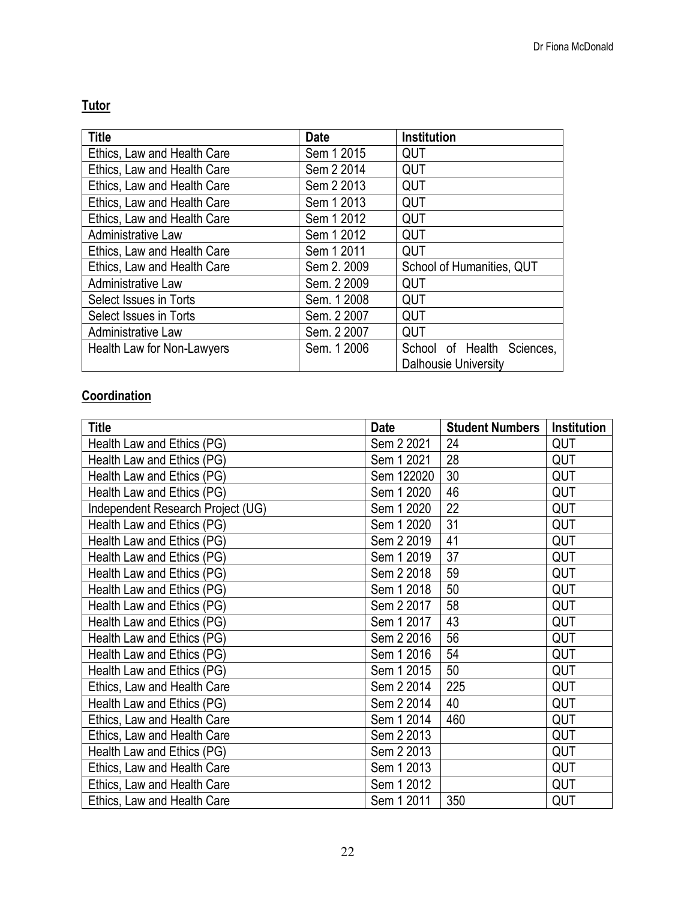# **Tutor**

| <b>Title</b>                | <b>Date</b> | <b>Institution</b>            |
|-----------------------------|-------------|-------------------------------|
| Ethics, Law and Health Care | Sem 1 2015  | QUT                           |
| Ethics, Law and Health Care | Sem 2 2014  | QUT                           |
| Ethics, Law and Health Care | Sem 2 2013  | QUT                           |
| Ethics, Law and Health Care | Sem 1 2013  | <b>QUT</b>                    |
| Ethics, Law and Health Care | Sem 1 2012  | <b>QUT</b>                    |
| Administrative Law          | Sem 1 2012  | QUT                           |
| Ethics, Law and Health Care | Sem 1 2011  | QUT                           |
| Ethics, Law and Health Care | Sem 2. 2009 | School of Humanities, QUT     |
| Administrative Law          | Sem. 2 2009 | QUT                           |
| Select Issues in Torts      | Sem. 1 2008 | QUT                           |
| Select Issues in Torts      | Sem. 2 2007 | QUT                           |
| Administrative Law          | Sem. 2 2007 | QUT                           |
| Health Law for Non-Lawyers  | Sem. 1 2006 | School of Health<br>Sciences, |
|                             |             | <b>Dalhousie University</b>   |

# **Coordination**

| <b>Title</b>                      | Date       | <b>Student Numbers</b> | <b>Institution</b> |
|-----------------------------------|------------|------------------------|--------------------|
| Health Law and Ethics (PG)        | Sem 2 2021 | 24                     | <b>QUT</b>         |
| Health Law and Ethics (PG)        | Sem 1 2021 | 28                     | <b>QUT</b>         |
| Health Law and Ethics (PG)        | Sem 122020 | 30                     | <b>QUT</b>         |
| Health Law and Ethics (PG)        | Sem 1 2020 | 46                     | <b>QUT</b>         |
| Independent Research Project (UG) | Sem 1 2020 | 22                     | QUT                |
| Health Law and Ethics (PG)        | Sem 1 2020 | 31                     | QUT                |
| Health Law and Ethics (PG)        | Sem 2 2019 | 41                     | QUT                |
| Health Law and Ethics (PG)        | Sem 1 2019 | 37                     | QUT                |
| Health Law and Ethics (PG)        | Sem 2 2018 | 59                     | QUT                |
| Health Law and Ethics (PG)        | Sem 1 2018 | 50                     | QUT                |
| Health Law and Ethics (PG)        | Sem 2 2017 | 58                     | <b>QUT</b>         |
| Health Law and Ethics (PG)        | Sem 1 2017 | 43                     | QUT                |
| Health Law and Ethics (PG)        | Sem 2 2016 | 56                     | QUT                |
| Health Law and Ethics (PG)        | Sem 1 2016 | 54                     | QUT                |
| Health Law and Ethics (PG)        | Sem 1 2015 | 50                     | <b>QUT</b>         |
| Ethics, Law and Health Care       | Sem 2 2014 | 225                    | <b>QUT</b>         |
| Health Law and Ethics (PG)        | Sem 2 2014 | 40                     | QUT                |
| Ethics, Law and Health Care       | Sem 1 2014 | 460                    | QUT                |
| Ethics, Law and Health Care       | Sem 2 2013 |                        | QUT                |
| Health Law and Ethics (PG)        | Sem 2 2013 |                        | QUT                |
| Ethics, Law and Health Care       | Sem 1 2013 |                        | QUT                |
| Ethics, Law and Health Care       | Sem 1 2012 |                        | <b>QUT</b>         |
| Ethics, Law and Health Care       | Sem 1 2011 | 350                    | QUT                |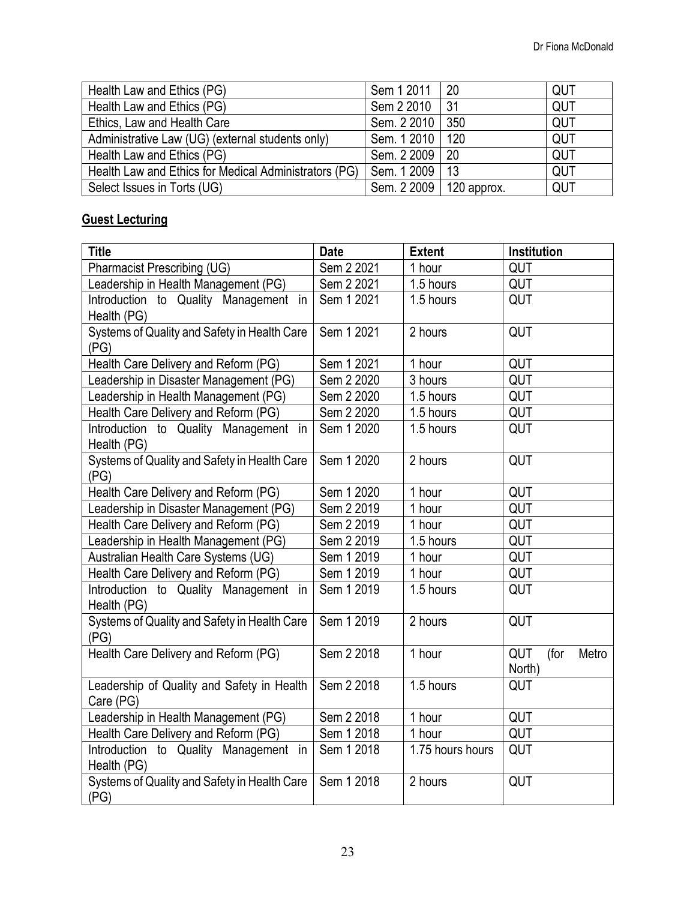| Health Law and Ethics (PG)                            | Sem 1 2011                | 20  | QUT |
|-------------------------------------------------------|---------------------------|-----|-----|
| Health Law and Ethics (PG)                            | Sem 2 2010                | -31 | QUT |
| Ethics, Law and Health Care                           | Sem. 2 2010               | 350 | QUT |
| Administrative Law (UG) (external students only)      | Sem. 1 2010   120         |     | QUT |
| Health Law and Ethics (PG)                            | Sem. 2 2009   20          |     | QUT |
| Health Law and Ethics for Medical Administrators (PG) | Sem. 1 2009               | 13  | QUT |
| Select Issues in Torts (UG)                           | Sem. 2 2009   120 approx. |     | QUT |

# **Guest Lecturing**

| <b>Title</b>                                            | <b>Date</b> | <b>Extent</b>    | Institution                    |
|---------------------------------------------------------|-------------|------------------|--------------------------------|
| Pharmacist Prescribing (UG)                             | Sem 2 2021  | 1 hour           | QUT                            |
| Leadership in Health Management (PG)                    | Sem 2 2021  | 1.5 hours        | QUT                            |
| Introduction to Quality Management in                   | Sem 1 2021  | 1.5 hours        | QUT                            |
| Health (PG)                                             |             |                  |                                |
| Systems of Quality and Safety in Health Care<br>(PG)    | Sem 1 2021  | 2 hours          | QUT                            |
| Health Care Delivery and Reform (PG)                    | Sem 1 2021  | 1 hour           | QUT                            |
| Leadership in Disaster Management (PG)                  | Sem 2 2020  | 3 hours          | QUT                            |
| Leadership in Health Management (PG)                    | Sem 2 2020  | 1.5 hours        | QUT                            |
| Health Care Delivery and Reform (PG)                    | Sem 2 2020  | 1.5 hours        | QUT                            |
| Introduction to Quality Management in<br>Health (PG)    | Sem 1 2020  | 1.5 hours        | QUT                            |
| Systems of Quality and Safety in Health Care<br>(PG)    | Sem 1 2020  | 2 hours          | QUT                            |
| Health Care Delivery and Reform (PG)                    | Sem 1 2020  | 1 hour           | QUT                            |
| Leadership in Disaster Management (PG)                  | Sem 2 2019  | 1 hour           | QUT                            |
| Health Care Delivery and Reform (PG)                    | Sem 2 2019  | 1 hour           | QUT                            |
| Leadership in Health Management (PG)                    | Sem 2 2019  | 1.5 hours        | QUT                            |
| Australian Health Care Systems (UG)                     | Sem 1 2019  | 1 hour           | QUT                            |
| Health Care Delivery and Reform (PG)                    | Sem 1 2019  | 1 hour           | QUT                            |
| Introduction to Quality Management in<br>Health (PG)    | Sem 1 2019  | 1.5 hours        | QUT                            |
| Systems of Quality and Safety in Health Care<br>(PG)    | Sem 1 2019  | 2 hours          | QUT                            |
| Health Care Delivery and Reform (PG)                    | Sem 2 2018  | 1 hour           | QUT<br>(for<br>Metro<br>North) |
| Leadership of Quality and Safety in Health<br>Care (PG) | Sem 2 2018  | 1.5 hours        | QUT                            |
| Leadership in Health Management (PG)                    | Sem 2 2018  | 1 hour           | QUT                            |
| Health Care Delivery and Reform (PG)                    | Sem 1 2018  | 1 hour           | QUT                            |
| Introduction to Quality Management in<br>Health (PG)    | Sem 1 2018  | 1.75 hours hours | QUT                            |
| Systems of Quality and Safety in Health Care<br>(PG)    | Sem 1 2018  | 2 hours          | QUT                            |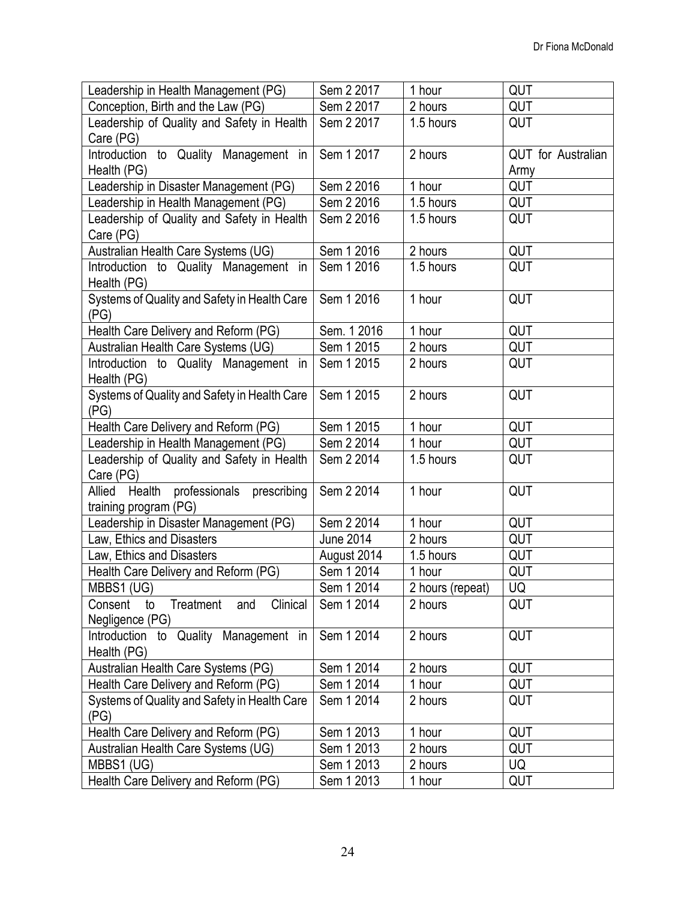| Leadership in Health Management (PG)                 | Sem 2 2017       | 1 hour                 | QUT                |
|------------------------------------------------------|------------------|------------------------|--------------------|
| Conception, Birth and the Law (PG)                   | Sem 2 2017       | 2 hours                | QUT                |
| Leadership of Quality and Safety in Health           | Sem 2 2017       | 1.5 hours              | QUT                |
| Care (PG)                                            |                  |                        |                    |
| Introduction to Quality Management in                | Sem 1 2017       | 2 hours                | QUT for Australian |
| Health (PG)                                          |                  |                        | Army               |
| Leadership in Disaster Management (PG)               | Sem 2 2016       | 1 hour                 | QUT                |
| Leadership in Health Management (PG)                 | Sem 2 2016       | $\overline{1.5}$ hours | QUT                |
| Leadership of Quality and Safety in Health           | Sem 2 2016       | 1.5 hours              | QUT                |
| Care (PG)                                            |                  |                        |                    |
| Australian Health Care Systems (UG)                  | Sem 1 2016       | 2 hours                | QUT                |
| Introduction to Quality Management in                | Sem 1 2016       | 1.5 hours              | QUT                |
| Health (PG)                                          |                  |                        |                    |
| Systems of Quality and Safety in Health Care<br>(PG) | Sem 1 2016       | 1 hour                 | QUT                |
| Health Care Delivery and Reform (PG)                 | Sem. 1 2016      | 1 hour                 | QUT                |
| Australian Health Care Systems (UG)                  | Sem 1 2015       | 2 hours                | QUT                |
| Introduction to Quality Management in                | Sem 1 2015       | 2 hours                | QUT                |
| Health (PG)                                          |                  |                        |                    |
| Systems of Quality and Safety in Health Care         | Sem 1 2015       | 2 hours                | QUT                |
| (PG)                                                 |                  |                        |                    |
| Health Care Delivery and Reform (PG)                 | Sem 1 2015       | 1 hour                 | QUT                |
| Leadership in Health Management (PG)                 | Sem 2 2014       | 1 hour                 | QUT                |
| Leadership of Quality and Safety in Health           | Sem 2 2014       | 1.5 hours              | QUT                |
| Care (PG)                                            |                  |                        |                    |
| professionals prescribing<br>Allied<br>Health        | Sem 2 2014       | 1 hour                 | QUT                |
| training program (PG)                                |                  |                        |                    |
| Leadership in Disaster Management (PG)               | Sem 2 2014       | 1 hour                 | QUT                |
| Law, Ethics and Disasters                            | <b>June 2014</b> | 2 hours                | QUT                |
| Law, Ethics and Disasters                            | August 2014      | 1.5 hours              | QUT                |
| Health Care Delivery and Reform (PG)                 | Sem 1 2014       | 1 hour                 | QUT                |
| MBBS1 (UG)                                           | Sem 1 2014       | 2 hours (repeat)       | UQ                 |
| Clinical<br>Consent to Treatment<br>and              | Sem 1 2014       | 2 hours                | QUT                |
| Negligence (PG)                                      |                  |                        |                    |
| Introduction to Quality Management in                | Sem 1 2014       | 2 hours                | QUT                |
| Health (PG)                                          |                  |                        |                    |
| Australian Health Care Systems (PG)                  | Sem 1 2014       | 2 hours                | QUT                |
| Health Care Delivery and Reform (PG)                 | Sem 1 2014       | 1 hour                 | QUT                |
| Systems of Quality and Safety in Health Care<br>(PG) | Sem 1 2014       | 2 hours                | QUT                |
| Health Care Delivery and Reform (PG)                 | Sem 1 2013       | 1 hour                 | QUT                |
| Australian Health Care Systems (UG)                  | Sem 1 2013       | 2 hours                | QUT                |
| MBBS1 (UG)                                           | Sem 1 2013       | 2 hours                | UQ                 |
| Health Care Delivery and Reform (PG)                 | Sem 1 2013       | 1 hour                 | QUT                |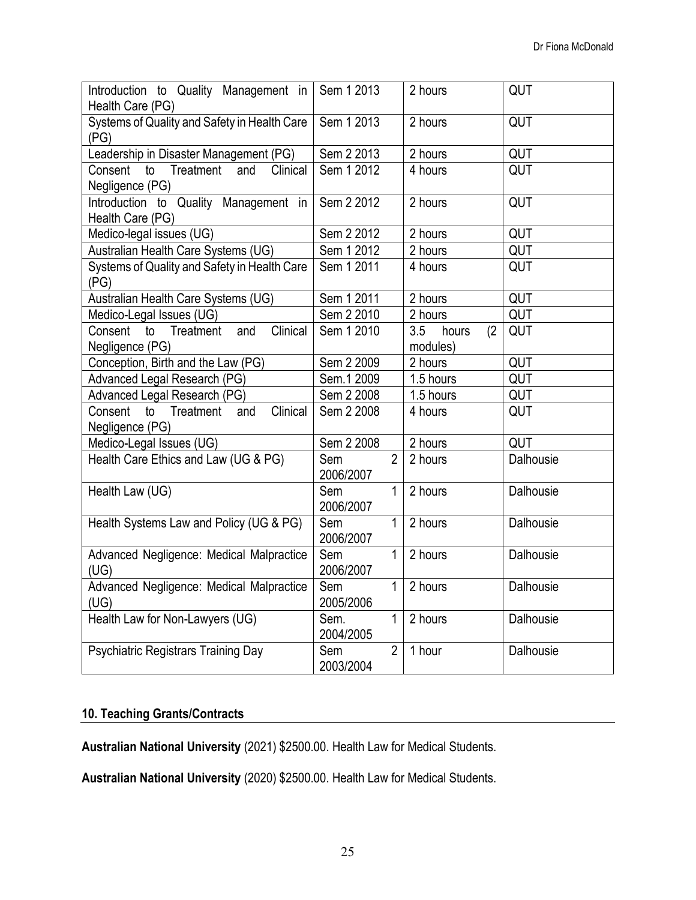| Introduction to Quality Management in<br>Health Care (PG)        | Sem 1 2013                         | 2 hours                         | QUT       |
|------------------------------------------------------------------|------------------------------------|---------------------------------|-----------|
| Systems of Quality and Safety in Health Care<br>(PG)             | Sem 1 2013                         | 2 hours                         | QUT       |
| Leadership in Disaster Management (PG)                           | Sem 2 2013                         | 2 hours                         | QUT       |
| Treatment<br>Clinical<br>Consent<br>and<br>to<br>Negligence (PG) | Sem 1 2012                         | 4 hours                         | QUT       |
| Introduction to Quality Management in<br>Health Care (PG)        | Sem 2 2012                         | 2 hours                         | QUT       |
| Medico-legal issues (UG)                                         | Sem 2 2012                         | 2 hours                         | QUT       |
| Australian Health Care Systems (UG)                              | Sem 1 2012                         | 2 hours                         | QUT       |
| Systems of Quality and Safety in Health Care<br>(PG)             | Sem 1 2011                         | 4 hours                         | QUT       |
| Australian Health Care Systems (UG)                              | Sem 1 2011                         | 2 hours                         | QUT       |
| Medico-Legal Issues (UG)                                         | Sem 2 2010                         | 2 hours                         | QUT       |
| Clinical<br>Consent<br>Treatment<br>to<br>and<br>Negligence (PG) | Sem 1 2010                         | 3.5<br>(2)<br>hours<br>modules) | QUT       |
| Conception, Birth and the Law (PG)                               | Sem 2 2009                         | 2 hours                         | QUT       |
| Advanced Legal Research (PG)                                     | Sem.1 2009                         | 1.5 hours                       | QUT       |
| Advanced Legal Research (PG)                                     | Sem 2 2008                         | 1.5 hours                       | QUT       |
| Clinical<br>to<br>Treatment<br>Consent<br>and<br>Negligence (PG) | Sem 2 2008                         | 4 hours                         | QUT       |
| Medico-Legal Issues (UG)                                         | Sem 2 2008                         | 2 hours                         | QUT       |
| Health Care Ethics and Law (UG & PG)                             | $\overline{2}$<br>Sem<br>2006/2007 | 2 hours                         | Dalhousie |
| Health Law (UG)                                                  | 1<br>Sem<br>2006/2007              | 2 hours                         | Dalhousie |
| Health Systems Law and Policy (UG & PG)                          | $\mathbf{1}$<br>Sem<br>2006/2007   | 2 hours                         | Dalhousie |
| Advanced Negligence: Medical Malpractice<br>(UG)                 | $\mathbf{1}$<br>Sem<br>2006/2007   | 2 hours                         | Dalhousie |
| Advanced Negligence: Medical Malpractice<br>(UG)                 | $\mathbf{1}$<br>Sem<br>2005/2006   | 2 hours                         | Dalhousie |
| Health Law for Non-Lawyers (UG)                                  | $\mathbf{1}$<br>Sem.<br>2004/2005  | 2 hours                         | Dalhousie |
| Psychiatric Registrars Training Day                              | $\overline{2}$<br>Sem<br>2003/2004 | 1 hour                          | Dalhousie |

# **10. Teaching Grants/Contracts**

**Australian National University** (2021) \$2500.00. Health Law for Medical Students.

**Australian National University** (2020) \$2500.00. Health Law for Medical Students.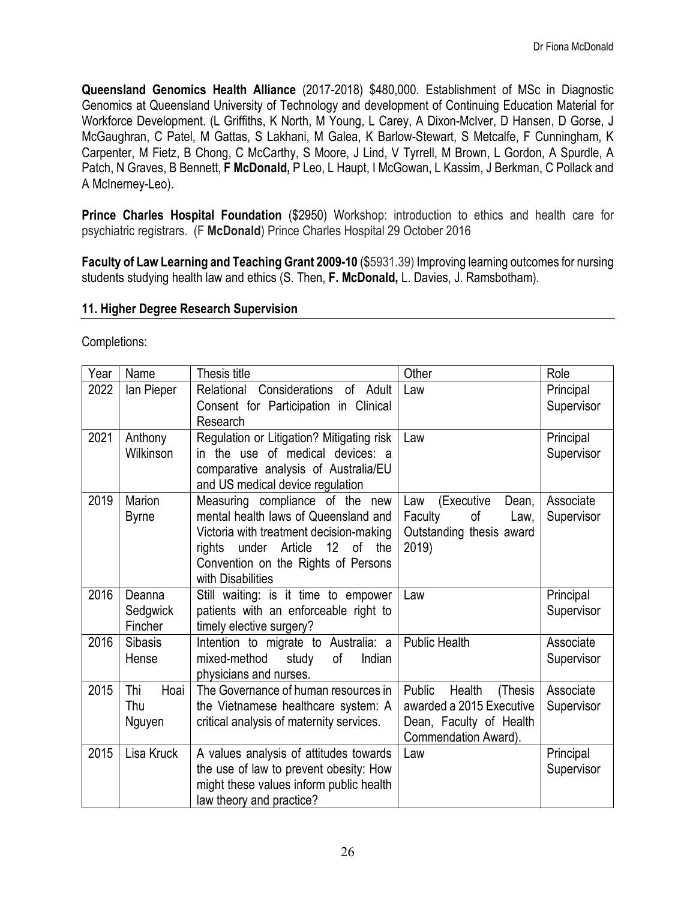**Queensland Genomics Health Alliance** (2017-2018) \$480,000. Establishment of MSc in Diagnostic Genomics at Queensland University of Technology and development of Continuing Education Material for Workforce Development. (L Griffiths, K North, M Young, L Carey, A Dixon-McIver, D Hansen, D Gorse, J McGaughran, C Patel, M Gattas, S Lakhani, M Galea, K Barlow-Stewart, S Metcalfe, F Cunningham, K Carpenter, M Fietz, B Chong, C McCarthy, S Moore, J Lind, V Tyrrell, M Brown, L Gordon, A Spurdle, A Patch, N Graves, B Bennett, **F McDonald,** P Leo, L Haupt, I McGowan, L Kassim, J Berkman, C Pollack and A McInerney-Leo).

**Prince Charles Hospital Foundation** (\$2950) Workshop: introduction to ethics and health care for psychiatric registrars. (F **McDonald**) Prince Charles Hospital 29 October 2016

**Faculty of Law Learning and Teaching Grant 2009-10** (\$5931.39) Improving learning outcomes for nursing students studying health law and ethics (S. Then, **F. McDonald,** L. Davies, J. Ramsbotham).

### **11. Higher Degree Research Supervision**

Completions:

| Year | Name                 | Thesis title                                                                        | Other                                                   | Role                    |
|------|----------------------|-------------------------------------------------------------------------------------|---------------------------------------------------------|-------------------------|
| 2022 | lan Pieper           | Relational Considerations of Adult                                                  | Law                                                     | Principal               |
|      |                      | Consent for Participation in Clinical                                               |                                                         | Supervisor              |
| 2021 |                      | Research                                                                            | Law                                                     |                         |
|      | Anthony<br>Wilkinson | Regulation or Litigation? Mitigating risk<br>in the use of medical devices: a       |                                                         | Principal<br>Supervisor |
|      |                      | comparative analysis of Australia/EU                                                |                                                         |                         |
|      |                      | and US medical device regulation                                                    |                                                         |                         |
| 2019 | Marion               | Measuring compliance of the new                                                     | Law (Executive<br>Dean,                                 | Associate               |
|      | <b>Byrne</b>         | mental health laws of Queensland and                                                | of<br>Faculty<br>Law,                                   | Supervisor              |
|      |                      | Victoria with treatment decision-making                                             | Outstanding thesis award                                |                         |
|      |                      | $12$ of<br>Article<br>the<br>rights<br>under<br>Convention on the Rights of Persons | 2019)                                                   |                         |
|      |                      | with Disabilities                                                                   |                                                         |                         |
| 2016 | Deanna               | Still waiting: is it time to empower                                                | Law                                                     | Principal               |
|      | Sedgwick             | patients with an enforceable right to                                               |                                                         | Supervisor              |
|      | Fincher              | timely elective surgery?                                                            |                                                         |                         |
| 2016 | <b>Sibasis</b>       | Intention to migrate to Australia: a                                                | <b>Public Health</b>                                    | Associate               |
|      | Hense                | mixed-method<br>of<br>Indian<br>study                                               |                                                         | Supervisor              |
|      |                      | physicians and nurses.                                                              |                                                         |                         |
| 2015 | Thi<br>Hoai<br>Thu   | The Governance of human resources in                                                | Public<br>Health<br>(Thesis<br>awarded a 2015 Executive | Associate               |
|      | Nguyen               | the Vietnamese healthcare system: A<br>critical analysis of maternity services.     | Dean, Faculty of Health                                 | Supervisor              |
|      |                      |                                                                                     | Commendation Award).                                    |                         |
| 2015 | Lisa Kruck           | A values analysis of attitudes towards                                              | Law                                                     | Principal               |
|      |                      | the use of law to prevent obesity: How                                              |                                                         | Supervisor              |
|      |                      | might these values inform public health                                             |                                                         |                         |
|      |                      | law theory and practice?                                                            |                                                         |                         |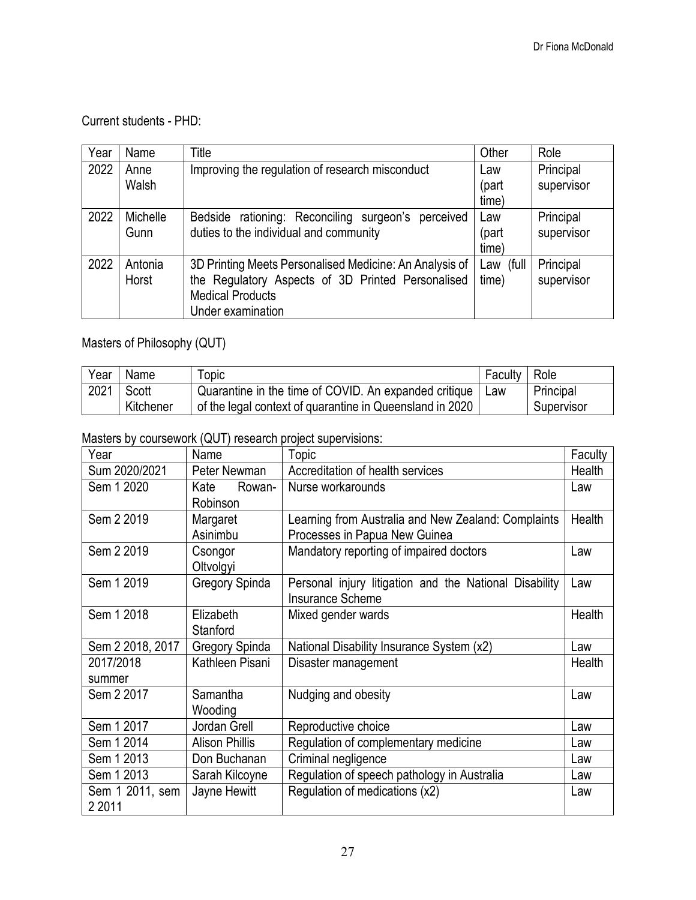Current students - PHD:

| Year | Name          | Title                                                   | Other        | Role                    |
|------|---------------|---------------------------------------------------------|--------------|-------------------------|
| 2022 | Anne<br>Walsh | Improving the regulation of research misconduct         | Law<br>(part | Principal<br>supervisor |
|      |               |                                                         | time)        |                         |
| 2022 | Michelle      | Bedside rationing: Reconciling surgeon's perceived      | Law          | Principal               |
|      | Gunn          | duties to the individual and community                  | (part        | supervisor              |
|      |               |                                                         | time)        |                         |
| 2022 | Antonia       | 3D Printing Meets Personalised Medicine: An Analysis of | Law (full    | Principal               |
|      | Horst         | the Regulatory Aspects of 3D Printed Personalised       | time)        | supervisor              |
|      |               | <b>Medical Products</b>                                 |              |                         |
|      |               | Under examination                                       |              |                         |

Masters of Philosophy (QUT)

| Year | Name      | Topic                                                    | Faculty | Role       |
|------|-----------|----------------------------------------------------------|---------|------------|
| 2021 | Scott     | Quarantine in the time of COVID. An expanded critique    | Law     | Principal  |
|      | Kitchener | of the legal context of quarantine in Queensland in 2020 |         | Supervisor |

Masters by coursework (QUT) research project supervisions:

| Year                         | Name                       | <b>Topic</b>                                                                         | Faculty |
|------------------------------|----------------------------|--------------------------------------------------------------------------------------|---------|
| Sum 2020/2021                | Peter Newman               | Accreditation of health services                                                     | Health  |
| Sem 1 2020                   | Kate<br>Rowan-<br>Robinson | Nurse workarounds                                                                    | Law     |
| Sem 2 2019                   | Margaret<br>Asinimbu       | Learning from Australia and New Zealand: Complaints<br>Processes in Papua New Guinea | Health  |
| Sem 2 2019                   | Csongor<br>Oltvolgyi       | Mandatory reporting of impaired doctors                                              | Law     |
| Sem 1 2019                   | Gregory Spinda             | Personal injury litigation and the National Disability<br>Insurance Scheme           | Law     |
| Sem 1 2018                   | Elizabeth<br>Stanford      | Mixed gender wards                                                                   | Health  |
| Sem 2 2018, 2017             | Gregory Spinda             | National Disability Insurance System (x2)                                            | Law     |
| 2017/2018<br>summer          | Kathleen Pisani            | Disaster management                                                                  | Health  |
| Sem 2 2017                   | Samantha<br>Wooding        | Nudging and obesity                                                                  | Law     |
| Sem 1 2017                   | Jordan Grell               | Reproductive choice                                                                  | Law     |
| Sem 1 2014                   | <b>Alison Phillis</b>      | Regulation of complementary medicine                                                 | Law     |
| Sem 1 2013                   | Don Buchanan               | Criminal negligence                                                                  | Law     |
| Sem 1 2013                   | Sarah Kilcoyne             | Regulation of speech pathology in Australia                                          | Law     |
| Sem 1 2011, sem<br>2 2 0 1 1 | Jayne Hewitt               | Regulation of medications (x2)                                                       | Law     |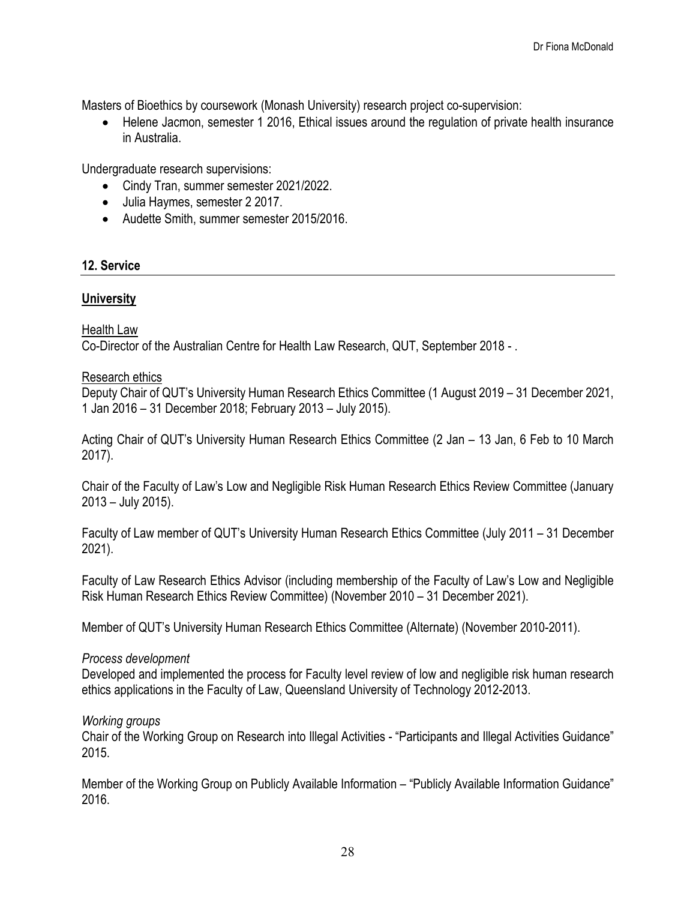Masters of Bioethics by coursework (Monash University) research project co-supervision:

• Helene Jacmon, semester 1 2016, Ethical issues around the regulation of private health insurance in Australia.

Undergraduate research supervisions:

- Cindy Tran, summer semester 2021/2022.
- Julia Haymes, semester 2 2017.
- Audette Smith, summer semester 2015/2016.

### **12. Service**

#### **University**

### Health Law

Co-Director of the Australian Centre for Health Law Research, QUT, September 2018 - .

#### Research ethics

Deputy Chair of QUT's University Human Research Ethics Committee (1 August 2019 – 31 December 2021, 1 Jan 2016 – 31 December 2018; February 2013 – July 2015).

Acting Chair of QUT's University Human Research Ethics Committee (2 Jan – 13 Jan, 6 Feb to 10 March 2017).

Chair of the Faculty of Law's Low and Negligible Risk Human Research Ethics Review Committee (January 2013 – July 2015).

Faculty of Law member of QUT's University Human Research Ethics Committee (July 2011 – 31 December 2021).

Faculty of Law Research Ethics Advisor (including membership of the Faculty of Law's Low and Negligible Risk Human Research Ethics Review Committee) (November 2010 – 31 December 2021).

Member of QUT's University Human Research Ethics Committee (Alternate) (November 2010-2011).

#### *Process development*

Developed and implemented the process for Faculty level review of low and negligible risk human research ethics applications in the Faculty of Law, Queensland University of Technology 2012-2013.

#### *Working groups*

Chair of the Working Group on Research into Illegal Activities - "Participants and Illegal Activities Guidance" 2015.

Member of the Working Group on Publicly Available Information – "Publicly Available Information Guidance" 2016.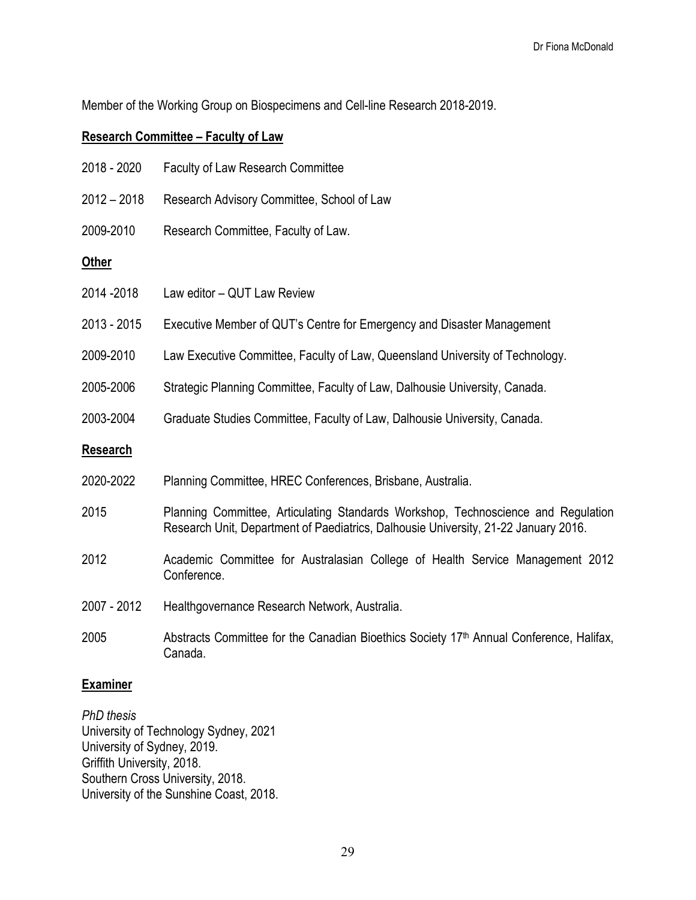Member of the Working Group on Biospecimens and Cell-line Research 2018-2019.

# **Research Committee – Faculty of Law**

| 2018 - 2020     | <b>Faculty of Law Research Committee</b>                                                                                                                                 |
|-----------------|--------------------------------------------------------------------------------------------------------------------------------------------------------------------------|
| $2012 - 2018$   | Research Advisory Committee, School of Law                                                                                                                               |
| 2009-2010       | Research Committee, Faculty of Law.                                                                                                                                      |
| <b>Other</b>    |                                                                                                                                                                          |
| 2014 - 2018     | Law editor - QUT Law Review                                                                                                                                              |
| 2013 - 2015     | Executive Member of QUT's Centre for Emergency and Disaster Management                                                                                                   |
| 2009-2010       | Law Executive Committee, Faculty of Law, Queensland University of Technology.                                                                                            |
| 2005-2006       | Strategic Planning Committee, Faculty of Law, Dalhousie University, Canada.                                                                                              |
| 2003-2004       | Graduate Studies Committee, Faculty of Law, Dalhousie University, Canada.                                                                                                |
| <b>Research</b> |                                                                                                                                                                          |
| 2020-2022       | Planning Committee, HREC Conferences, Brisbane, Australia.                                                                                                               |
| 2015            | Planning Committee, Articulating Standards Workshop, Technoscience and Regulation<br>Research Unit, Department of Paediatrics, Dalhousie University, 21-22 January 2016. |
| 2012            | Academic Committee for Australasian College of Health Service Management 2012<br>Conference.                                                                             |
| 2007 - 2012     | Healthgovernance Research Network, Australia.                                                                                                                            |
| 2005            | Abstracts Committee for the Canadian Bioethics Society 17 <sup>th</sup> Annual Conference, Halifax,<br>Canada.                                                           |

# **Examiner**

*PhD thesis* University of Technology Sydney, 2021 University of Sydney, 2019. Griffith University, 2018. Southern Cross University, 2018. University of the Sunshine Coast, 2018.